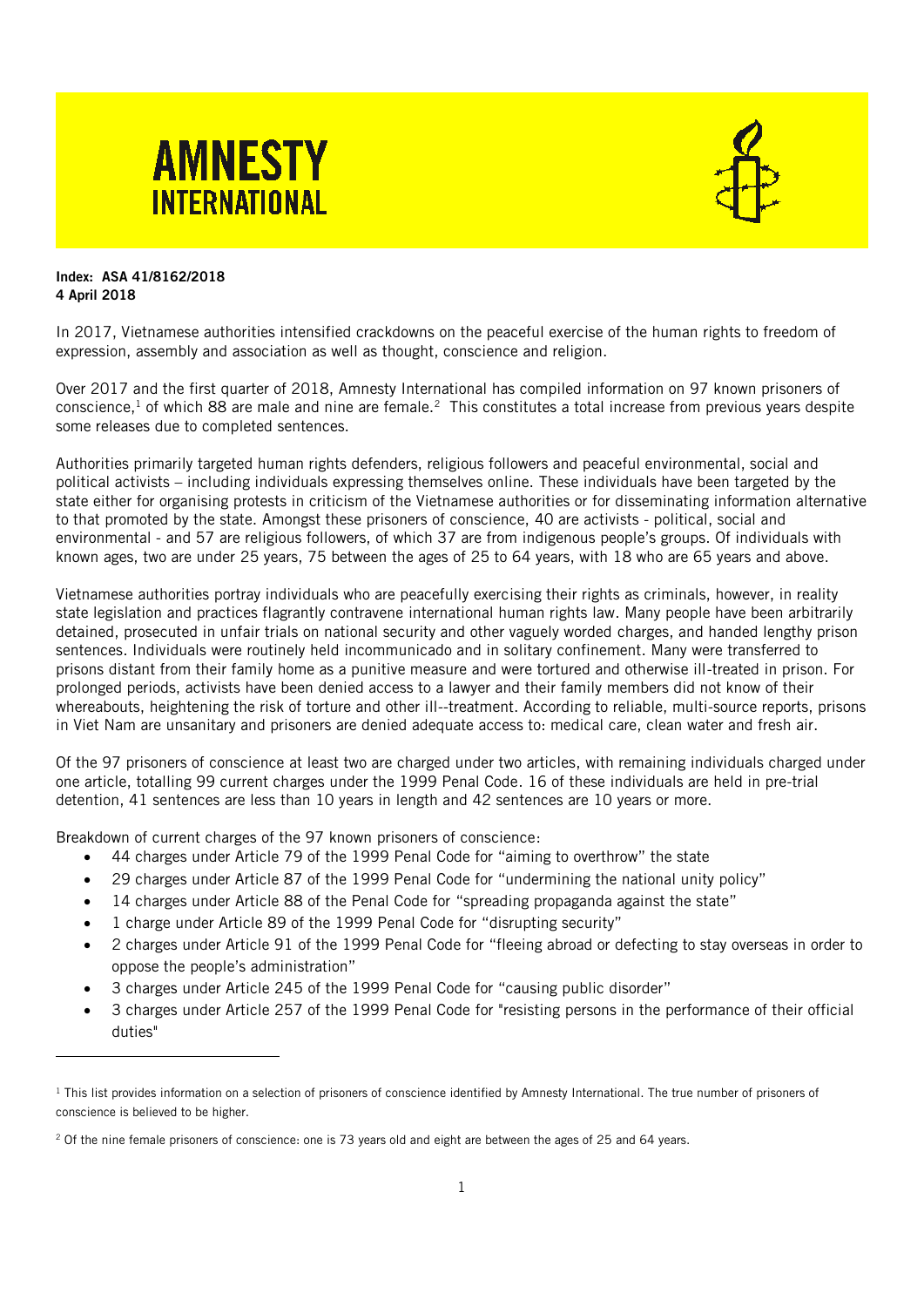



## Index: ASA 41/8162/2018 4 April 2018

In 2017, Vietnamese authorities intensified crackdowns on the peaceful exercise of the human rights to freedom of expression, assembly and association as well as thought, conscience and religion.

Over 2017 and the first quarter of 2018, Amnesty International has compiled information on 97 known prisoners of conscience,<sup>1</sup> of which 88 are male and nine are female.<sup>2</sup> This constitutes a total increase from previous years despite some releases due to completed sentences.

Authorities primarily targeted human rights defenders, religious followers and peaceful environmental, social and political activists – including individuals expressing themselves online. These individuals have been targeted by the state either for organising protests in criticism of the Vietnamese authorities or for disseminating information alternative to that promoted by the state. Amongst these prisoners of conscience, 40 are activists - political, social and environmental - and 57 are religious followers, of which 37 are from indigenous people's groups. Of individuals with known ages, two are under 25 years, 75 between the ages of 25 to 64 years, with 18 who are 65 years and above.

Vietnamese authorities portray individuals who are peacefully exercising their rights as criminals, however, in reality state legislation and practices flagrantly contravene international human rights law. Many people have been arbitrarily detained, prosecuted in unfair trials on national security and other vaguely worded charges, and handed lengthy prison sentences. Individuals were routinely held incommunicado and in solitary confinement. Many were transferred to prisons distant from their family home as a punitive measure and were tortured and otherwise ill-treated in prison. For prolonged periods, activists have been denied access to a lawyer and their family members did not know of their whereabouts, heightening the risk of torture and other ill--treatment. According to reliable, multi-source reports, prisons in Viet Nam are unsanitary and prisoners are denied adequate access to: medical care, clean water and fresh air.

Of the 97 prisoners of conscience at least two are charged under two articles, with remaining individuals charged under one article, totalling 99 current charges under the 1999 Penal Code. 16 of these individuals are held in pre-trial detention, 41 sentences are less than 10 years in length and 42 sentences are 10 years or more.

Breakdown of current charges of the 97 known prisoners of conscience:

- 44 charges under Article 79 of the 1999 Penal Code for "aiming to overthrow" the state
- 29 charges under Article 87 of the 1999 Penal Code for "undermining the national unity policy"
- 14 charges under Article 88 of the Penal Code for "spreading propaganda against the state"
- 1 charge under Article 89 of the 1999 Penal Code for "disrupting security"
- 2 charges under Article 91 of the 1999 Penal Code for "fleeing abroad or defecting to stay overseas in order to oppose the people's administration"
- 3 charges under Article 245 of the 1999 Penal Code for "causing public disorder"
- 3 charges under Article 257 of the 1999 Penal Code for "resisting persons in the performance of their official duties"

<sup>&</sup>lt;sup>1</sup> This list provides information on a selection of prisoners of conscience identified by Amnesty International. The true number of prisoners of conscience is believed to be higher.

<sup>2</sup> Of the nine female prisoners of conscience: one is 73 years old and eight are between the ages of 25 and 64 years.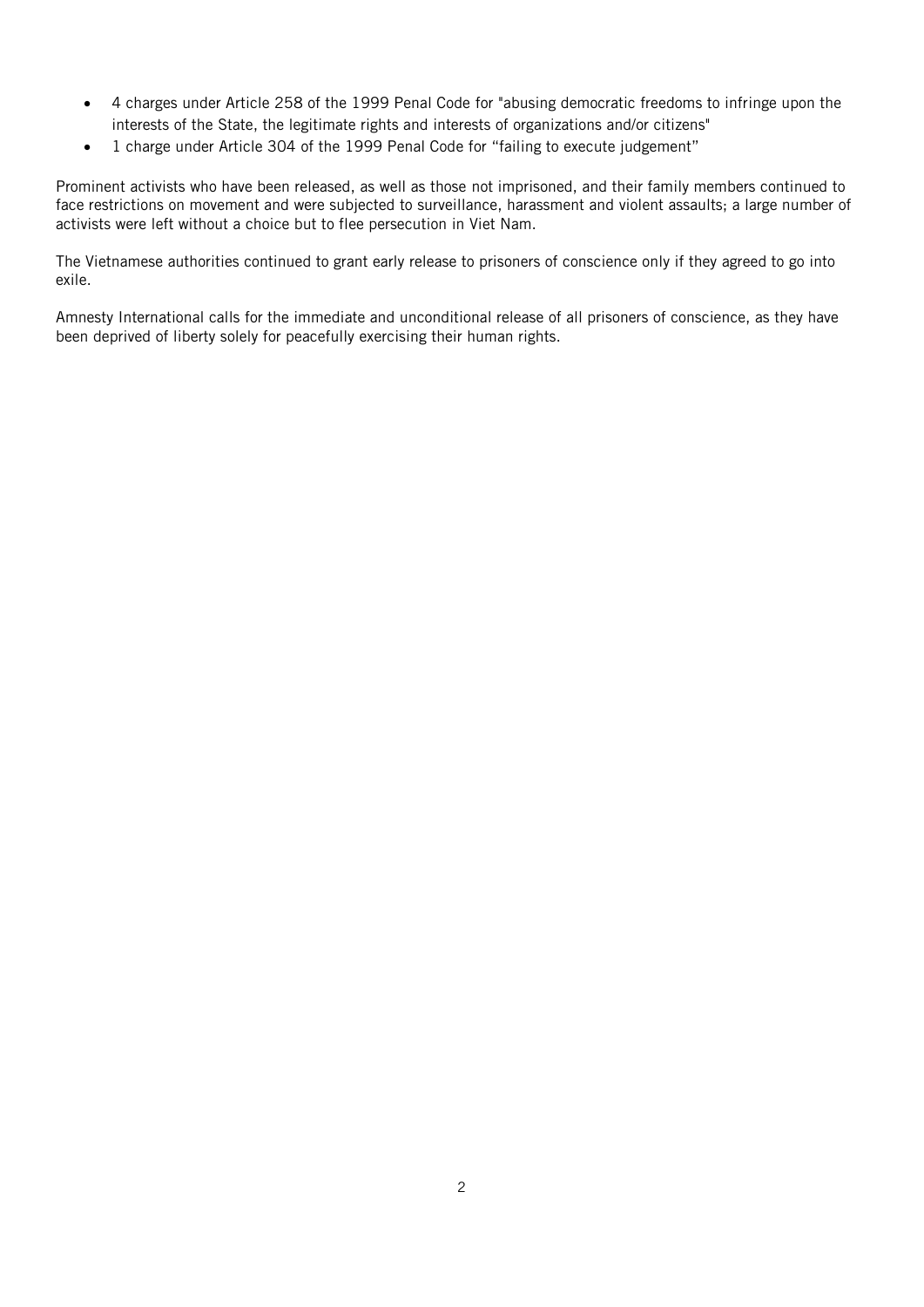- 4 charges under Article 258 of the 1999 Penal Code for "abusing democratic freedoms to infringe upon the interests of the State, the legitimate rights and interests of organizations and/or citizens"
- 1 charge under Article 304 of the 1999 Penal Code for "failing to execute judgement"

Prominent activists who have been released, as well as those not imprisoned, and their family members continued to face restrictions on movement and were subjected to surveillance, harassment and violent assaults; a large number of activists were left without a choice but to flee persecution in Viet Nam.

The Vietnamese authorities continued to grant early release to prisoners of conscience only if they agreed to go into exile.

Amnesty International calls for the immediate and unconditional release of all prisoners of conscience, as they have been deprived of liberty solely for peacefully exercising their human rights.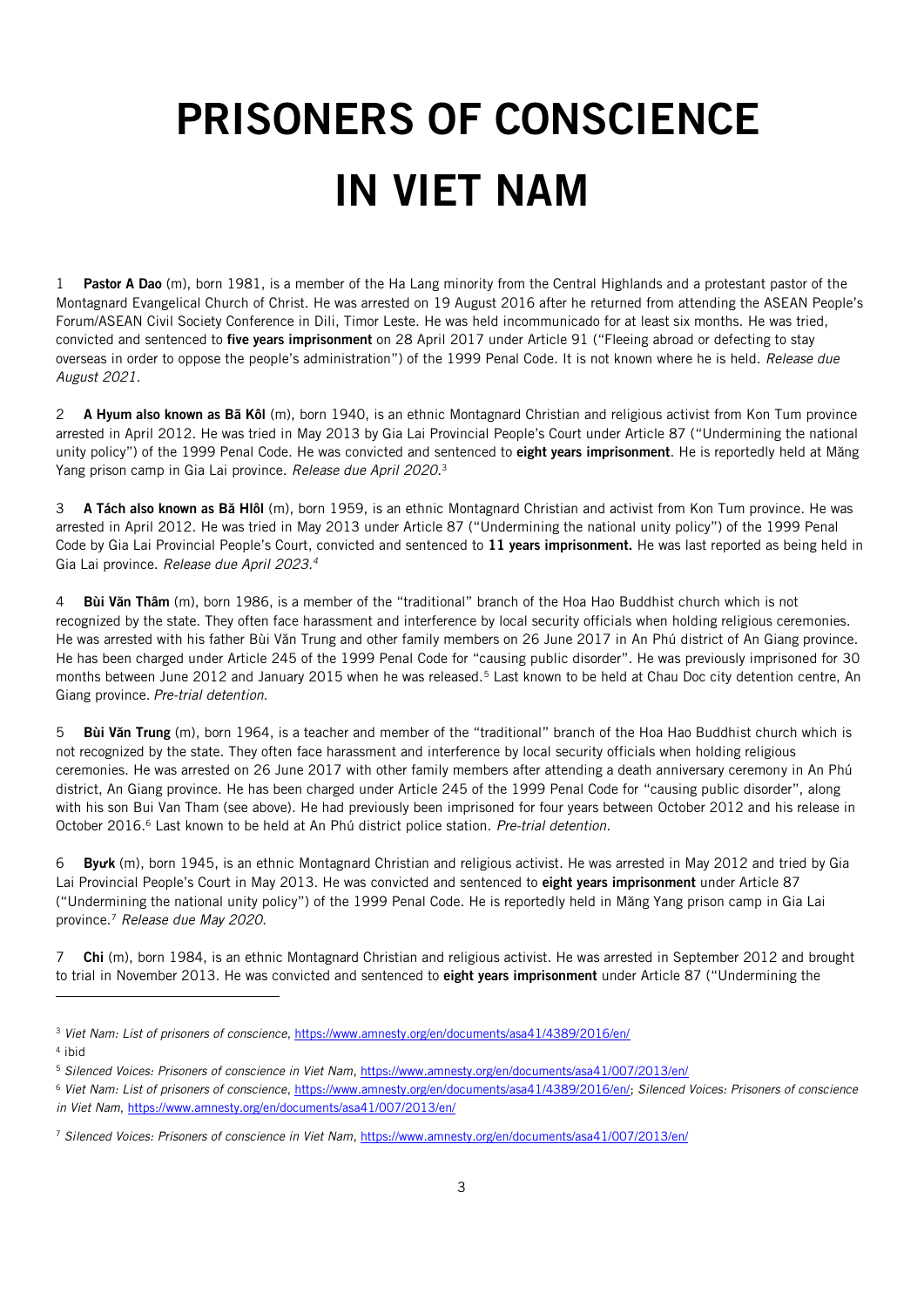## PRISONERS OF CONSCIENCE IN VIET NAM

1 Pastor A Dao (m), born 1981, is a member of the Ha Lang minority from the Central Highlands and a protestant pastor of the Montagnard Evangelical Church of Christ. He was arrested on 19 August 2016 after he returned from attending the ASEAN People's Forum/ASEAN Civil Society Conference in Dili, Timor Leste. He was held incommunicado for at least six months. He was tried, convicted and sentenced to five years imprisonment on 28 April 2017 under Article 91 ("Fleeing abroad or defecting to stay overseas in order to oppose the people's administration") of the 1999 Penal Code. It is not known where he is held. *Release due August 2021*.

2 A Hyum also known as Bã Kôl (m), born 1940, is an ethnic Montagnard Christian and religious activist from Kon Tum province arrested in April 2012. He was tried in May 2013 by Gia Lai Provincial People's Court under Article 87 ("Undermining the national unity policy") of the 1999 Penal Code. He was convicted and sentenced to eight years imprisonment. He is reportedly held at Măng Yang prison camp in Gia Lai province. *Release due April 2020*. 3

3 A Tách also known as Bă Hlôl (m), born 1959, is an ethnic Montagnard Christian and activist from Kon Tum province. He was arrested in April 2012. He was tried in May 2013 under Article 87 ("Undermining the national unity policy") of the 1999 Penal Code by Gia Lai Provincial People's Court, convicted and sentenced to 11 years imprisonment. He was last reported as being held in Gia Lai province. *Release due April 2023.<sup>4</sup>*

4 Bùi Văn Thâm (m), born 1986, is a member of the "traditional" branch of the Hoa Hao Buddhist church which is not recognized by the state. They often face harassment and interference by local security officials when holding religious ceremonies. He was arrested with his father Bùi Văn Trung and other family members on 26 June 2017 in An Phú district of An Giang province. He has been charged under Article 245 of the 1999 Penal Code for "causing public disorder". He was previously imprisoned for 30 months between June 2012 and January 2015 when he was released.<sup>5</sup> Last known to be held at Chau Doc city detention centre, An Giang province. *Pre-trial detention.* 

5 Bùi Văn Trung (m), born 1964, is a teacher and member of the "traditional" branch of the Hoa Hao Buddhist church which is not recognized by the state. They often face harassment and interference by local security officials when holding religious ceremonies. He was arrested on 26 June 2017 with other family members after attending a death anniversary ceremony in An Phú district, An Giang province. He has been charged under Article 245 of the 1999 Penal Code for "causing public disorder", along with his son Bui Van Tham (see above). He had previously been imprisoned for four years between October 2012 and his release in October 2016.<sup>6</sup> Last known to be held at An Phú district police station. *Pre-trial detention.*

6 By**ư**k (m), born 1945, is an ethnic Montagnard Christian and religious activist. He was arrested in May 2012 and tried by Gia Lai Provincial People's Court in May 2013. He was convicted and sentenced to eight years imprisonment under Article 87 ("Undermining the national unity policy") of the 1999 Penal Code. He is reportedly held in Măng Yang prison camp in Gia Lai province.<sup>7</sup> *Release due May 2020.*

7 Chi (m), born 1984, is an ethnic Montagnard Christian and religious activist. He was arrested in September 2012 and brought to trial in November 2013. He was convicted and sentenced to eight years imprisonment under Article 87 ("Undermining the

<sup>3</sup> *Viet Nam: List of prisoners of conscience*[, https://www.amnesty.org/en/documents/asa41/4389/2016/en/](https://www.amnesty.org/en/documents/asa41/4389/2016/en/)

<sup>4</sup> ibid

<sup>5</sup> *Silenced Voices: Prisoners of conscience in Viet Nam*[, https://www.amnesty.org/en/documents/asa41/007/2013/en/](https://www.amnesty.org/en/documents/asa41/007/2013/en/) 

<sup>6</sup> *Viet Nam: List of prisoners of conscience*[, https://www.amnesty.org/en/documents/asa41/4389/2016/en/;](https://www.amnesty.org/en/documents/asa41/4389/2016/en/) *Silenced Voices: Prisoners of conscience in Viet Nam*,<https://www.amnesty.org/en/documents/asa41/007/2013/en/>

<sup>7</sup> *Silenced Voices: Prisoners of conscience in Viet Nam*[, https://www.amnesty.org/en/documents/asa41/007/2013/en/](https://www.amnesty.org/en/documents/asa41/007/2013/en/)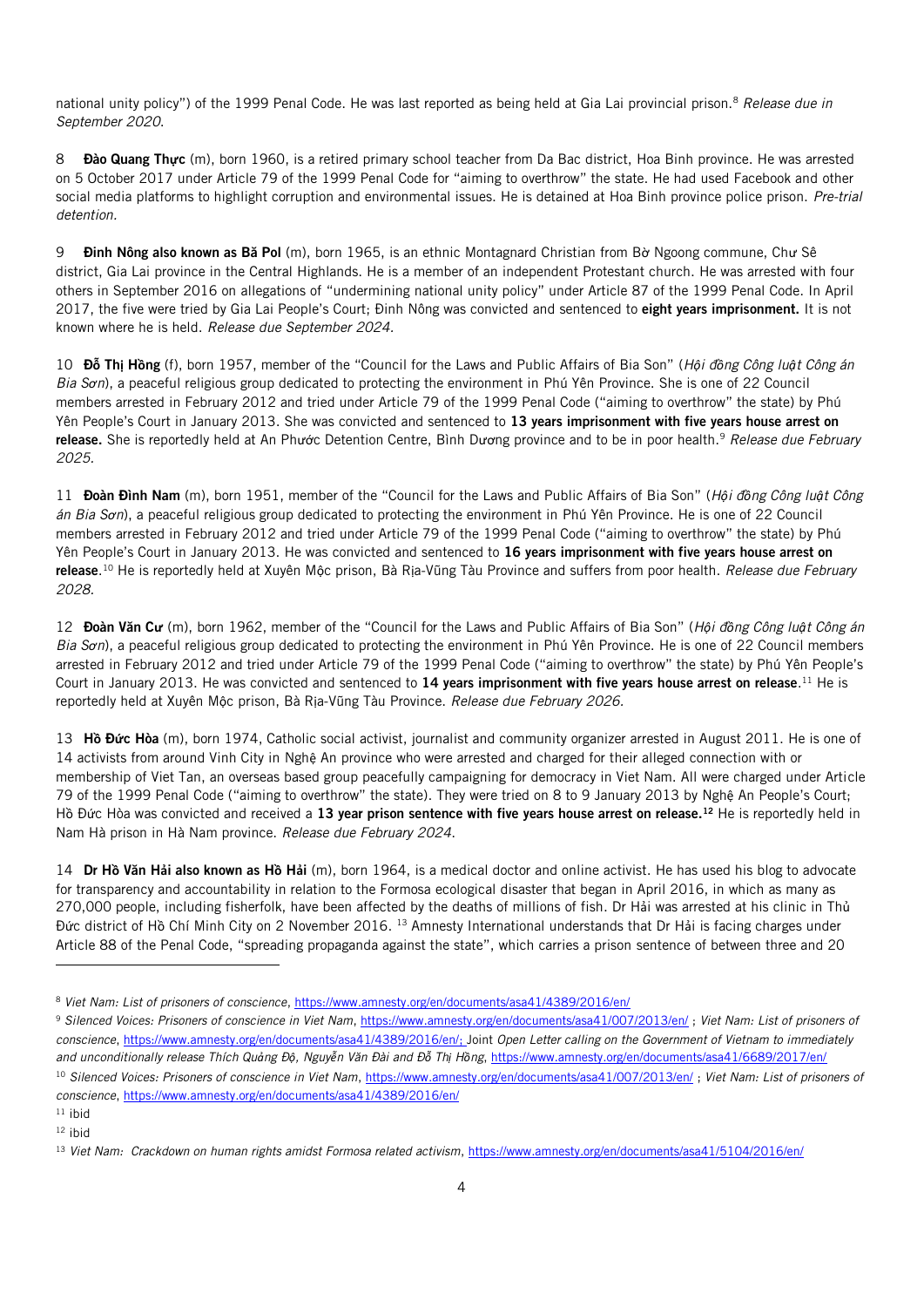national unity policy") of the 1999 Penal Code. He was last reported as being held at Gia Lai provincial prison.<sup>8</sup> *Release due in September 2020*.

8 **Đào Quang Thực** (m), born 1960, is a retired primary school teacher from Da Bac district, Hoa Binh province. He was arrested on 5 October 2017 under Article 79 of the 1999 Penal Code for "aiming to overthrow" the state. He had used Facebook and other social media platforms to highlight corruption and environmental issues. He is detained at Hoa Binh province police prison. *Pre-trial detention.*

9 Đinh Nông also known as Bă Pol (m), born 1965, is an ethnic Montagnard Christian from Bờ Ngoong commune, Chư Sê district, Gia Lai province in the Central Highlands. He is a member of an independent Protestant church. He was arrested with four others in September 2016 on allegations of "undermining national unity policy" under Article 87 of the 1999 Penal Code. In April 2017, the five were tried by Gia Lai People's Court; Đinh Nông was convicted and sentenced to eight years imprisonment. It is not known where he is held. *Release due September 2024.*

10 Đ**ỗ** Th**ị** H**ồ**ng (f), born 1957, member of the "Council for the Laws and Public Affairs of Bia Son" (*Hội đồng Công luật Công án Bia Sơn*), a peaceful religious group dedicated to protecting the environment in Phú Yên Province. She is one of 22 Council members arrested in February 2012 and tried under Article 79 of the 1999 Penal Code ("aiming to overthrow" the state) by Phú Yên People's Court in January 2013. She was convicted and sentenced to 13 years imprisonment with five years house arrest on release. She is reportedly held at An Phước Detention Centre, Bình Dương province and to be in poor health.<sup>9</sup> *Release due February 2025.*

11 Đoàn Đình Nam (m), born 1951, member of the "Council for the Laws and Public Affairs of Bia Son" (*Hội đồng Công luật Công án Bia Sơn*), a peaceful religious group dedicated to protecting the environment in Phú Yên Province. He is one of 22 Council members arrested in February 2012 and tried under Article 79 of the 1999 Penal Code ("aiming to overthrow" the state) by Phú Yên People's Court in January 2013. He was convicted and sentenced to 16 years imprisonment with five years house arrest on release. <sup>10</sup> He is reportedly held at Xuyên Mộc prison, Bà Rịa-Vũng Tàu Province and suffers from poor health. *Release due February 2028.*

12 Đoàn Văn C**ư** (m), born 1962, member of the "Council for the Laws and Public Affairs of Bia Son" (*Hội đồng Công luật Công án Bia Sơn*), a peaceful religious group dedicated to protecting the environment in Phú Yên Province. He is one of 22 Council members arrested in February 2012 and tried under Article 79 of the 1999 Penal Code ("aiming to overthrow" the state) by Phú Yên People's Court in January 2013. He was convicted and sentenced to 14 years imprisonment with five years house arrest on release.<sup>11</sup> He is reportedly held at Xuyên Mộc prison, Bà Rịa-Vũng Tàu Province. *Release due February 2026.*

13 H**ồ** Đ**ứ**c Hòa (m), born 1974, Catholic social activist, journalist and community organizer arrested in August 2011. He is one of 14 activists from around Vinh City in Nghệ An province who were arrested and charged for their alleged connection with or membership of Viet Tan, an overseas based group peacefully campaigning for democracy in Viet Nam. All were charged under Article 79 of the 1999 Penal Code ("aiming to overthrow" the state). They were tried on 8 to 9 January 2013 by Nghệ An People's Court; Hồ Đức Hòa was convicted and received a 13 year prison sentence with five years house arrest on release.<sup>12</sup> He is reportedly held in Nam Hà prison in Hà Nam province. *Release due February 2024*.

14 Dr H**ồ** Văn H**ả**i also known as H**ồ** H**ả**i (m), born 1964, is a medical doctor and online activist. He has used his blog to advocate for transparency and accountability in relation to the Formosa ecological disaster that began in April 2016, in which as many as 270,000 people, including fisherfolk, have been affected by the deaths of millions of fish. Dr Hải was arrested at his clinic in Thủ Đức district of Hồ Chí Minh City on 2 November 2016. <sup>13</sup> Amnesty International understands that Dr Hải is facing charges under Article 88 of the Penal Code, "spreading propaganda against the state", which carries a prison sentence of between three and 20

l

<sup>8</sup> *Viet Nam: List of prisoners of conscience*[, https://www.amnesty.org/en/documents/asa41/4389/2016/en/](https://www.amnesty.org/en/documents/asa41/4389/2016/en/)

<sup>9</sup> *Silenced Voices: Prisoners of conscience in Viet Nam*[, https://www.amnesty.org/en/documents/asa41/007/2013/en/](https://www.amnesty.org/en/documents/asa41/007/2013/en/) ; *Viet Nam: List of prisoners of conscience*[, https://www.amnesty.org/en/documents/asa41/4389/2016/en/;](https://www.amnesty.org/en/documents/asa41/4389/2016/en/) Joint *Open Letter calling on the Government of Vietnam to immediately*  and unconditionally release Thích Quảng Độ, Nguyễn Văn Đài and Đỗ Thị Hồng, <https://www.amnesty.org/en/documents/asa41/6689/2017/en/> <sup>10</sup> *Silenced Voices: Prisoners of conscience in Viet Nam*[, https://www.amnesty.org/en/documents/asa41/007/2013/en/](https://www.amnesty.org/en/documents/asa41/007/2013/en/) ; *Viet Nam: List of prisoners of conscience*[, https://www.amnesty.org/en/documents/asa41/4389/2016/en/](https://www.amnesty.org/en/documents/asa41/4389/2016/en/)

 $11$  ibid  $12$  ibid

<sup>&</sup>lt;sup>13</sup> Viet Nam: Crackdown on human rights amidst Formosa related activism[, https://www.amnesty.org/en/documents/asa41/5104/2016/en/](https://www.amnesty.org/en/documents/asa41/5104/2016/en/)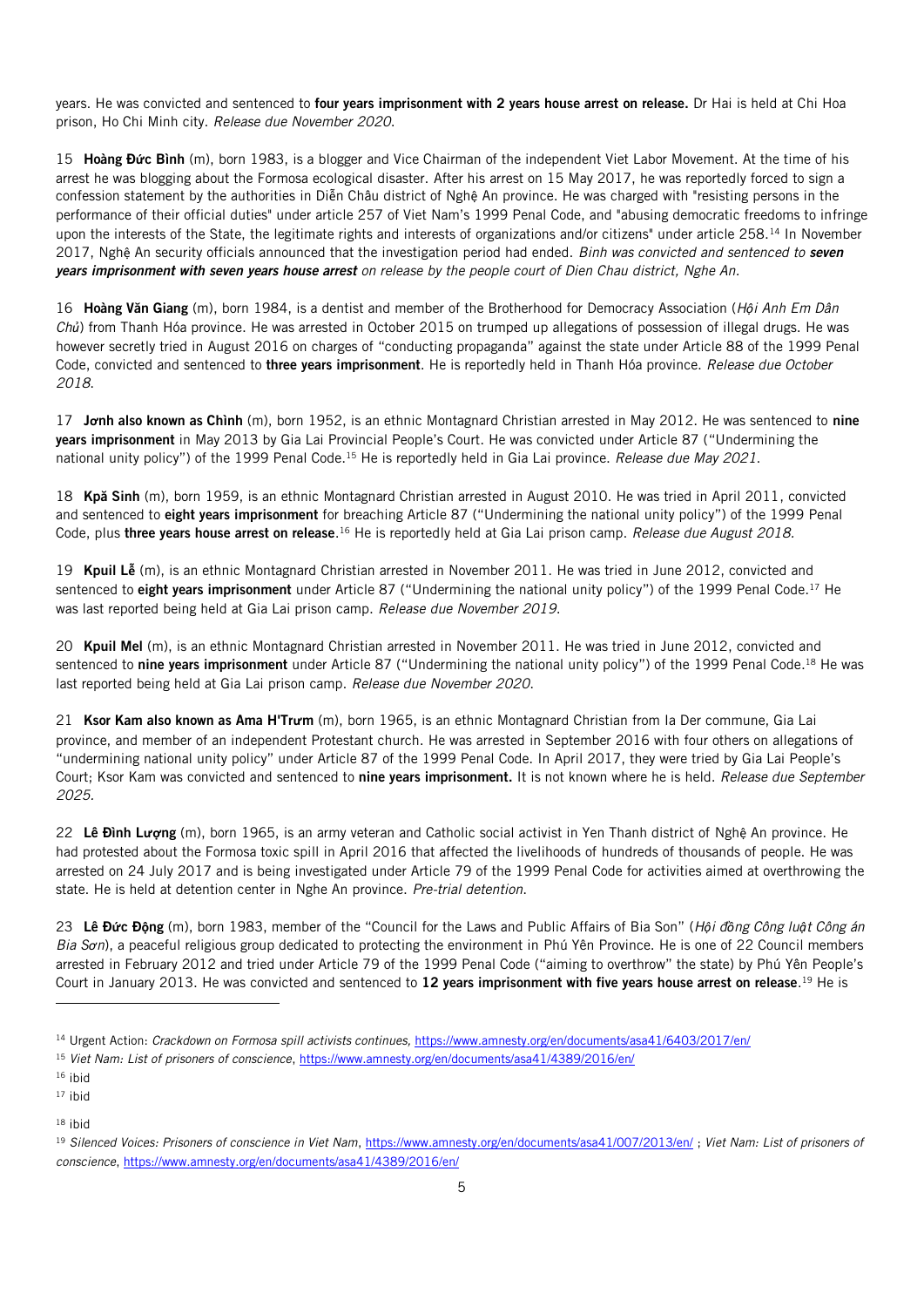years. He was convicted and sentenced to four years imprisonment with 2 years house arrest on release. Dr Hai is held at Chi Hoa prison, Ho Chi Minh city. *Release due November 2020*.

15 Hoàng Đ**ứ**c Bình (m), born 1983, is a blogger and Vice Chairman of the independent Viet Labor Movement. At the time of his arrest he was blogging about the Formosa ecological disaster. After his arrest on 15 May 2017, he was reportedly forced to sign a confession statement by the authorities in Diễn Châu district of Nghệ An province. He was charged with "resisting persons in the performance of their official duties" under article 257 of Viet Nam's 1999 Penal Code, and "abusing democratic freedoms to infringe upon the interests of the State, the legitimate rights and interests of organizations and/or citizens" under article 258.<sup>14</sup> In November 2017, Nghệ An security officials announced that the investigation period had ended. *Binh was convicted and sentenced to seven years imprisonment with seven years house arrest on release by the people court of Dien Chau district, Nghe An.*

16 Hoàng Văn Giang (m), born 1984, is a dentist and member of the Brotherhood for Democracy Association (*Hội Anh Em Dân Chủ*) from Thanh Hóa province. He was arrested in October 2015 on trumped up allegations of possession of illegal drugs. He was however secretly tried in August 2016 on charges of "conducting propaganda" against the state under Article 88 of the 1999 Penal Code, convicted and sentenced to three years imprisonment. He is reportedly held in Thanh Hóa province. *Release due October 2018*.

17 J**ơ**nh also known as Chình (m), born 1952, is an ethnic Montagnard Christian arrested in May 2012. He was sentenced to nine years imprisonment in May 2013 by Gia Lai Provincial People's Court. He was convicted under Article 87 ("Undermining the national unity policy") of the 1999 Penal Code.<sup>15</sup> He is reportedly held in Gia Lai province. *Release due May 2021*.

18 Kpă Sinh (m), born 1959, is an ethnic Montagnard Christian arrested in August 2010. He was tried in April 2011, convicted and sentenced to eight years imprisonment for breaching Article 87 ("Undermining the national unity policy") of the 1999 Penal Code, plus **three years house arrest on release**.<sup>16</sup> He is reportedly held at Gia Lai prison camp. *Release due August 2018.* 

19 Kpuil L**ễ** (m), is an ethnic Montagnard Christian arrested in November 2011. He was tried in June 2012, convicted and sentenced to eight years imprisonment under Article 87 ("Undermining the national unity policy") of the 1999 Penal Code.<sup>17</sup> He was last reported being held at Gia Lai prison camp. *Release due November 2019*.

20 Kpuil Mel (m), is an ethnic Montagnard Christian arrested in November 2011. He was tried in June 2012, convicted and sentenced to nine years imprisonment under Article 87 ("Undermining the national unity policy") of the 1999 Penal Code.<sup>18</sup> He was last reported being held at Gia Lai prison camp. *Release due November 2020*.

21 Ksor Kam also known as Ama H'Tr**ư**m (m), born 1965, is an ethnic Montagnard Christian from Ia Der commune, Gia Lai province, and member of an independent Protestant church. He was arrested in September 2016 with four others on allegations of "undermining national unity policy" under Article 87 of the 1999 Penal Code. In April 2017, they were tried by Gia Lai People's Court; Ksor Kam was convicted and sentenced to nine years imprisonment. It is not known where he is held. *Release due September 2025.*

22 Lê Đình L**ượ**ng (m), born 1965, is an army veteran and Catholic social activist in Yen Thanh district of Nghệ An province. He had protested about the Formosa toxic spill in April 2016 that affected the livelihoods of hundreds of thousands of people. He was arrested on 24 July 2017 and is being investigated under Article 79 of the 1999 Penal Code for activities aimed at overthrowing the state. He is held at detention center in Nghe An province. *Pre-trial detention*.

23 Lê Đ**ứ**c Đ**ộ**ng (m), born 1983, member of the "Council for the Laws and Public Affairs of Bia Son" (*Hội đồng Công luật Công án Bia Sơn*), a peaceful religious group dedicated to protecting the environment in Phú Yên Province. He is one of 22 Council members arrested in February 2012 and tried under Article 79 of the 1999 Penal Code ("aiming to overthrow" the state) by Phú Yên People's Court in January 2013. He was convicted and sentenced to 12 years imprisonment with five years house arrest on release.<sup>19</sup> He is

l

<sup>14</sup> Urgent Action: *Crackdown on Formosa spill activists continues,* <https://www.amnesty.org/en/documents/asa41/6403/2017/en/>

<sup>15</sup> *Viet Nam: List of prisoners of conscience*[, https://www.amnesty.org/en/documents/asa41/4389/2016/en/](https://www.amnesty.org/en/documents/asa41/4389/2016/en/)

<sup>16</sup> ibid

<sup>17</sup> ibid

<sup>19</sup> *Silenced Voices: Prisoners of conscience in Viet Nam*[, https://www.amnesty.org/en/documents/asa41/007/2013/en/](https://www.amnesty.org/en/documents/asa41/007/2013/en/) ; *Viet Nam: List of prisoners of conscience*[, https://www.amnesty.org/en/documents/asa41/4389/2016/en/](https://www.amnesty.org/en/documents/asa41/4389/2016/en/)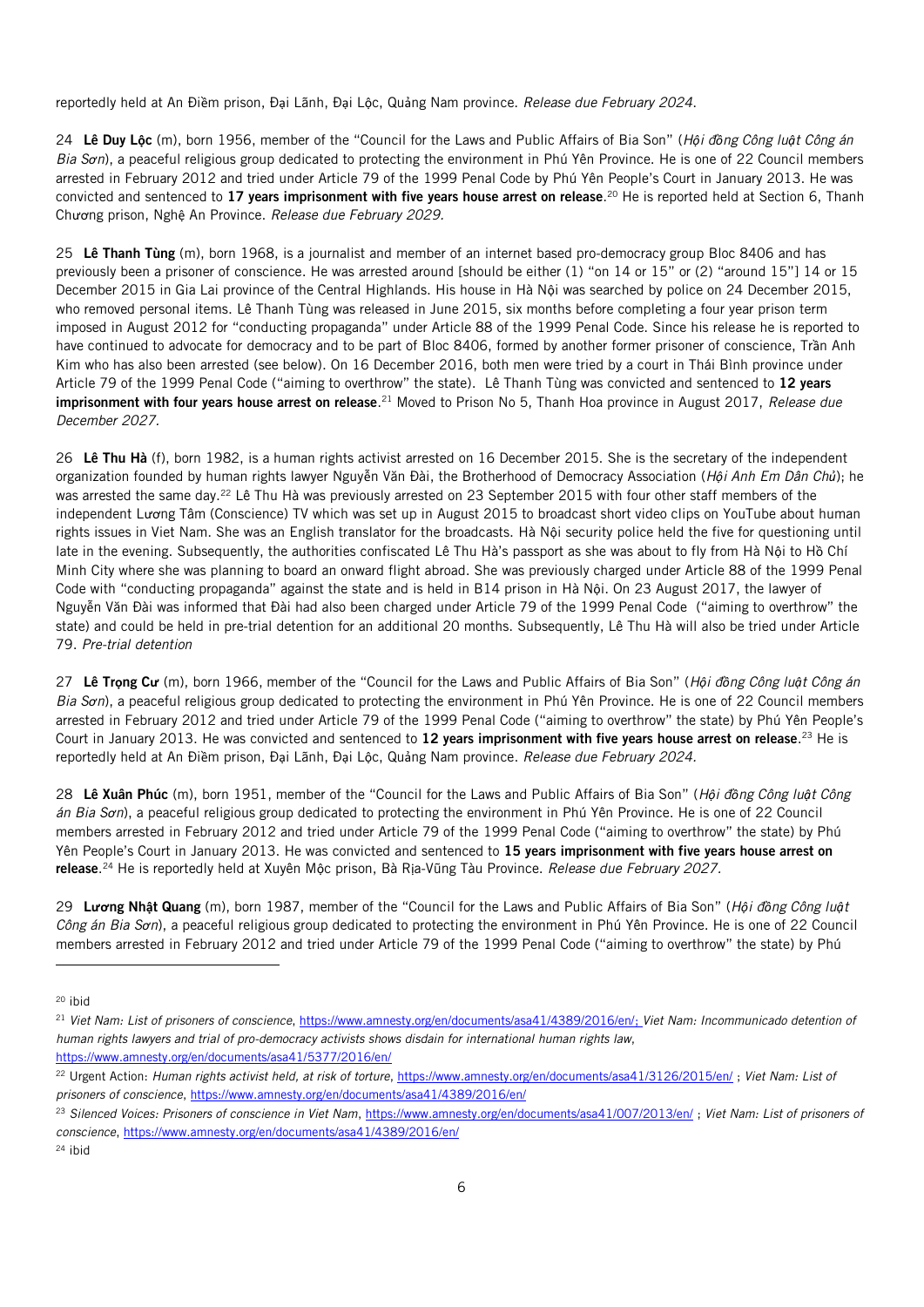reportedly held at An Điềm prison, Đại Lãnh, Đại Lộc, Quảng Nam province. *Release due February 2024*.

24 Lê Duy L**ộ**c (m), born 1956, member of the "Council for the Laws and Public Affairs of Bia Son" (*Hội đồng Công luật Công án Bia Sơn*), a peaceful religious group dedicated to protecting the environment in Phú Yên Province. He is one of 22 Council members arrested in February 2012 and tried under Article 79 of the 1999 Penal Code by Phú Yên People's Court in January 2013. He was convicted and sentenced to 17 **years imprisonment with five years house arrest on release**.<sup>20</sup> He is reported held at Section 6, Thanh Chương prison, Nghệ An Province. *Release due February 2029.*

25 Lê Thanh Tùng (m), born 1968, is a journalist and member of an internet based pro-democracy group Bloc 8406 and has previously been a prisoner of conscience. He was arrested around [should be either (1) "on 14 or 15" or (2) "around 15"] 14 or 15 December 2015 in Gia Lai province of the Central Highlands. His house in Hà Nội was searched by police on 24 December 2015, who removed personal items. Lê Thanh Tùng was released in June 2015, six months before completing a four year prison term imposed in August 2012 for "conducting propaganda" under Article 88 of the 1999 Penal Code. Since his release he is reported to have continued to advocate for democracy and to be part of Bloc 8406, formed by another former prisoner of conscience, Trần Anh Kim who has also been arrested (see below). On 16 December 2016, both men were tried by a court in Thái Bình province under Article 79 of the 1999 Penal Code ("aiming to overthrow" the state). Lê Thanh Tùng was convicted and sentenced to 12 years **imprisonment with four years house arrest on release**.<sup>21</sup> Moved to Prison No 5, Thanh Hoa province in August 2017, *Release due December 2027.*

26 Lê Thu Hà (f), born 1982, is a human rights activist arrested on 16 December 2015. She is the secretary of the independent organization founded by human rights lawyer Nguyễn Văn Đài, the Brotherhood of Democracy Association (*Hội Anh Em Dân Chủ*); he was arrested the same day.<sup>22</sup> Lê Thu Hà was previously arrested on 23 September 2015 with four other staff members of the independent Lương Tâm (Conscience) TV which was set up in August 2015 to broadcast short video clips on YouTube about human rights issues in Viet Nam. She was an English translator for the broadcasts. Hà Nội security police held the five for questioning until late in the evening. Subsequently, the authorities confiscated Lê Thu Hà's passport as she was about to fly from Hà Nội to Hồ Chí Minh City where she was planning to board an onward flight abroad. She was previously charged under Article 88 of the 1999 Penal Code with "conducting propaganda" against the state and is held in B14 prison in Hà Nội. On 23 August 2017, the lawyer of Nguyễn Văn Đài was informed that Đài had also been charged under Article 79 of the 1999 Penal Code ("aiming to overthrow" the state) and could be held in pre-trial detention for an additional 20 months. Subsequently, Lê Thu Hà will also be tried under Article 79. *Pre-trial detention*

27 Lê Tr**ọ**ng C**ư** (m), born 1966, member of the "Council for the Laws and Public Affairs of Bia Son" (*Hội đồng Công luật Công án Bia Sơn*), a peaceful religious group dedicated to protecting the environment in Phú Yên Province. He is one of 22 Council members arrested in February 2012 and tried under Article 79 of the 1999 Penal Code ("aiming to overthrow" the state) by Phú Yên People's Court in January 2013. He was convicted and sentenced to 12 years imprisonment with five years house arrest on release.<sup>23</sup> He is reportedly held at An Điềm prison, Đại Lãnh, Đại Lộc, Quảng Nam province. *Release due February 2024.*

28 Lê Xuân Phúc (m), born 1951, member of the "Council for the Laws and Public Affairs of Bia Son" (*Hội đồng Công luật Công án Bia Sơn*), a peaceful religious group dedicated to protecting the environment in Phú Yên Province. He is one of 22 Council members arrested in February 2012 and tried under Article 79 of the 1999 Penal Code ("aiming to overthrow" the state) by Phú Yên People's Court in January 2013. He was convicted and sentenced to 15 years imprisonment with five years house arrest on release. <sup>24</sup> He is reportedly held at Xuyên Mộc prison, Bà Rịa-Vũng Tàu Province. *Release due February 2027.*

29 L**ươ**ng Nh**ậ**t Quang (m), born 1987, member of the "Council for the Laws and Public Affairs of Bia Son" (*Hội đồng Công luật Công án Bia Sơn*), a peaceful religious group dedicated to protecting the environment in Phú Yên Province. He is one of 22 Council members arrested in February 2012 and tried under Article 79 of the 1999 Penal Code ("aiming to overthrow" the state) by Phú

<sup>20</sup> ibid

j

<sup>21</sup> *Viet Nam: List of prisoners of conscience*[, https://www.amnesty.org/en/documents/asa41/4389/2016/en/;](https://www.amnesty.org/en/documents/asa41/4389/2016/en/) *Viet Nam: Incommunicado detention of human rights lawyers and trial of pro-democracy activists shows disdain for international human rights law*, <https://www.amnesty.org/en/documents/asa41/5377/2016/en/>

<sup>&</sup>lt;sup>22</sup> Urgent Action: Human rights activist held, at risk of torture,<https://www.amnesty.org/en/documents/asa41/3126/2015/en/>; Viet Nam: List of *prisoners of conscience*[, https://www.amnesty.org/en/documents/asa41/4389/2016/en/](https://www.amnesty.org/en/documents/asa41/4389/2016/en/)

<sup>23</sup> *Silenced Voices: Prisoners of conscience in Viet Nam*[, https://www.amnesty.org/en/documents/asa41/007/2013/en/](https://www.amnesty.org/en/documents/asa41/007/2013/en/) ; *Viet Nam: List of prisoners of conscience*[, https://www.amnesty.org/en/documents/asa41/4389/2016/en/](https://www.amnesty.org/en/documents/asa41/4389/2016/en/)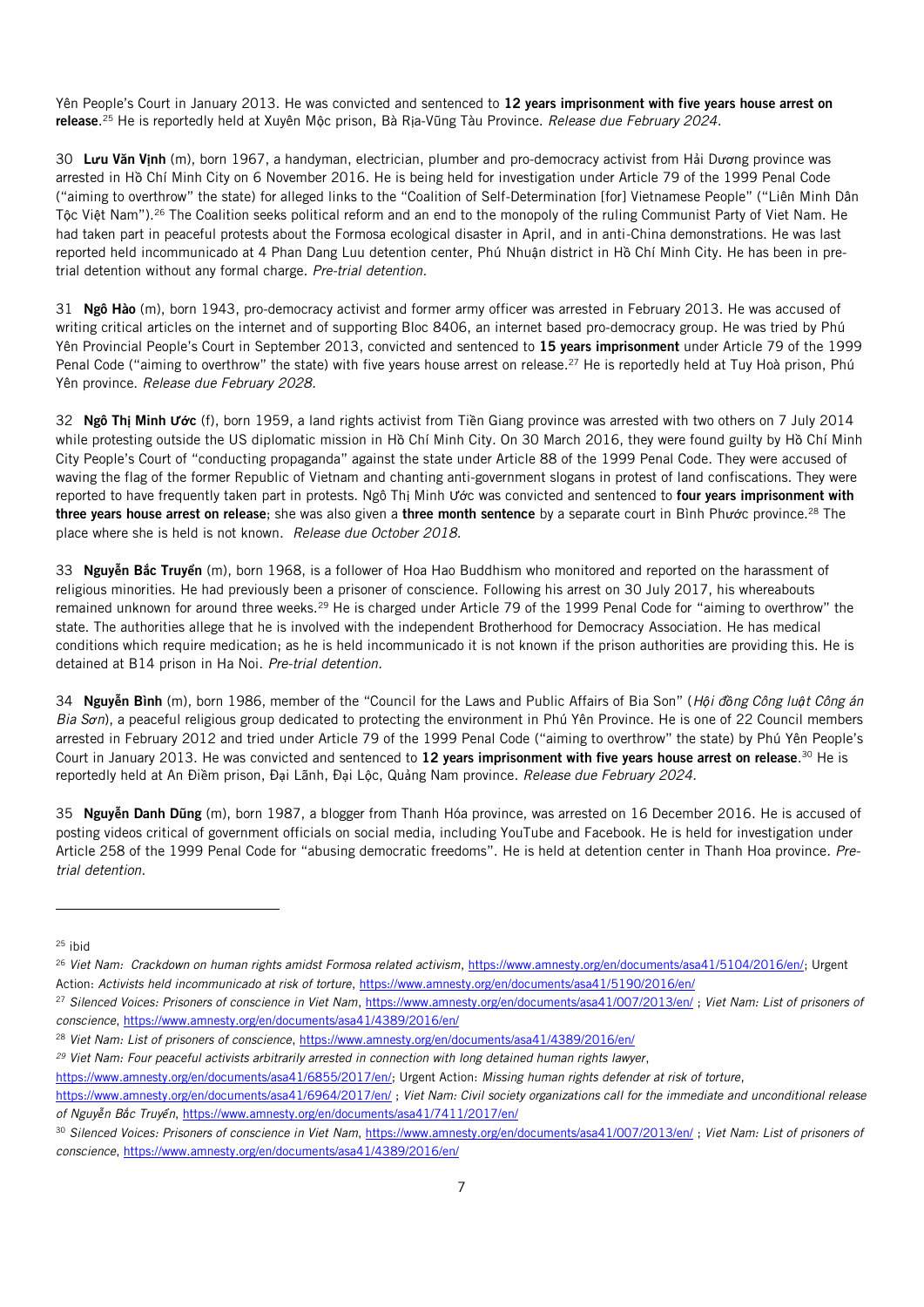Yên People's Court in January 2013. He was convicted and sentenced to 12 years imprisonment with five years house arrest on release. <sup>25</sup> He is reportedly held at Xuyên Mộc prison, Bà Rịa-Vũng Tàu Province. *Release due February 2024*.

30 L**ư**u Văn V**ị**nh (m), born 1967, a handyman, electrician, plumber and pro-democracy activist from Hải Dương province was arrested in Hồ Chí Minh City on 6 November 2016. He is being held for investigation under Article 79 of the 1999 Penal Code ("aiming to overthrow" the state) for alleged links to the "Coalition of Self-Determination [for] Vietnamese People" ("Liên Minh Dân Tộc Việt Nam").<sup>26</sup> The Coalition seeks political reform and an end to the monopoly of the ruling Communist Party of Viet Nam. He had taken part in peaceful protests about the Formosa ecological disaster in April, and in anti-China demonstrations. He was last reported held incommunicado at 4 Phan Dang Luu detention center, Phú Nhuận district in Hồ Chí Minh City. He has been in pretrial detention without any formal charge. *Pre-trial detention.*

31 Ngô Hào (m), born 1943, pro-democracy activist and former army officer was arrested in February 2013. He was accused of writing critical articles on the internet and of supporting Bloc 8406, an internet based pro-democracy group. He was tried by Phú Yên Provincial People's Court in September 2013, convicted and sentenced to 15 years imprisonment under Article 79 of the 1999 Penal Code ("aiming to overthrow" the state) with five years house arrest on release.<sup>27</sup> He is reportedly held at Tuy Hoà prison, Phú Yên province. *Release due February 2028.*

32 Ngô Th**ị** Minh **Ướ**c (f), born 1959, a land rights activist from Tiền Giang province was arrested with two others on 7 July 2014 while protesting outside the US diplomatic mission in Hồ Chí Minh City. On 30 March 2016, they were found guilty by Hồ Chí Minh City People's Court of "conducting propaganda" against the state under Article 88 of the 1999 Penal Code. They were accused of waving the flag of the former Republic of Vietnam and chanting anti-government slogans in protest of land confiscations. They were reported to have frequently taken part in protests. Ngô Thị Minh Ước was convicted and sentenced to four years imprisonment with three years house arrest on release; she was also given a three month sentence by a separate court in Bình Phước province.<sup>28</sup> The place where she is held is not known. *Release due October 2018.*

33 Nguy**ễ**n B**ắ**c Truy**ể**n (m), born 1968, is a follower of Hoa Hao Buddhism who monitored and reported on the harassment of religious minorities. He had previously been a prisoner of conscience. Following his arrest on 30 July 2017, his whereabouts remained unknown for around three weeks.<sup>29</sup> He is charged under Article 79 of the 1999 Penal Code for "aiming to overthrow" the state. The authorities allege that he is involved with the independent Brotherhood for Democracy Association. He has medical conditions which require medication; as he is held incommunicado it is not known if the prison authorities are providing this. He is detained at B14 prison in Ha Noi. *Pre-trial detention.*

34 Nguy**ễ**n Bình (m), born 1986, member of the "Council for the Laws and Public Affairs of Bia Son" (*Hội đồng Công luật Công án Bia Sơn*), a peaceful religious group dedicated to protecting the environment in Phú Yên Province. He is one of 22 Council members arrested in February 2012 and tried under Article 79 of the 1999 Penal Code ("aiming to overthrow" the state) by Phú Yên People's Court in January 2013. He was convicted and sentenced to 12 years imprisonment with five years house arrest on release.<sup>30</sup> He is reportedly held at An Điềm prison, Đại Lãnh, Đại Lộc, Quảng Nam province. *Release due February 2024.*

35 Nguy**ễ**n Danh Dũng (m), born 1987, a blogger from Thanh Hóa province, was arrested on 16 December 2016. He is accused of posting videos critical of government officials on social media, including YouTube and Facebook. He is held for investigation under Article 258 of the 1999 Penal Code for "abusing democratic freedoms". He is held at detention center in Thanh Hoa province. *Pretrial detention.*

<sup>25</sup> ibid

l

[https://www.amnesty.org/en/documents/asa41/6855/2017/en/;](https://www.amnesty.org/en/documents/asa41/6855/2017/en/) Urgent Action: *Missing human rights defender at risk of torture*,

<sup>&</sup>lt;sup>26</sup> Viet Nam: Crackdown on human rights amidst Formosa related activism[, https://www.amnesty.org/en/documents/asa41/5104/2016/en/;](https://www.amnesty.org/en/documents/asa41/5104/2016/en/) Urgent Action: *Activists held incommunicado at risk of torture*[, https://www.amnesty.org/en/documents/asa41/5190/2016/en/](https://www.amnesty.org/en/documents/asa41/5190/2016/en/)

<sup>27</sup> *Silenced Voices: Prisoners of conscience in Viet Nam*[, https://www.amnesty.org/en/documents/asa41/007/2013/en/](https://www.amnesty.org/en/documents/asa41/007/2013/en/) ; *Viet Nam: List of prisoners of conscience*[, https://www.amnesty.org/en/documents/asa41/4389/2016/en/](https://www.amnesty.org/en/documents/asa41/4389/2016/en/)

<sup>28</sup> *Viet Nam: List of prisoners of conscience*[, https://www.amnesty.org/en/documents/asa41/4389/2016/en/](https://www.amnesty.org/en/documents/asa41/4389/2016/en/)

*<sup>29</sup> Viet Nam: Four peaceful activists arbitrarily arrested in connection with long detained human rights lawyer*,

<https://www.amnesty.org/en/documents/asa41/6964/2017/en/> ; *Viet Nam: Civil society organizations call for the immediate and unconditional release of Nguyễn Bắc Truyển*[, https://www.amnesty.org/en/documents/asa41/7411/2017/en/](https://www.amnesty.org/en/documents/asa41/7411/2017/en/)

<sup>30</sup> *Silenced Voices: Prisoners of conscience in Viet Nam*[, https://www.amnesty.org/en/documents/asa41/007/2013/en/](https://www.amnesty.org/en/documents/asa41/007/2013/en/) ; *Viet Nam: List of prisoners of conscience*[, https://www.amnesty.org/en/documents/asa41/4389/2016/en/](https://www.amnesty.org/en/documents/asa41/4389/2016/en/)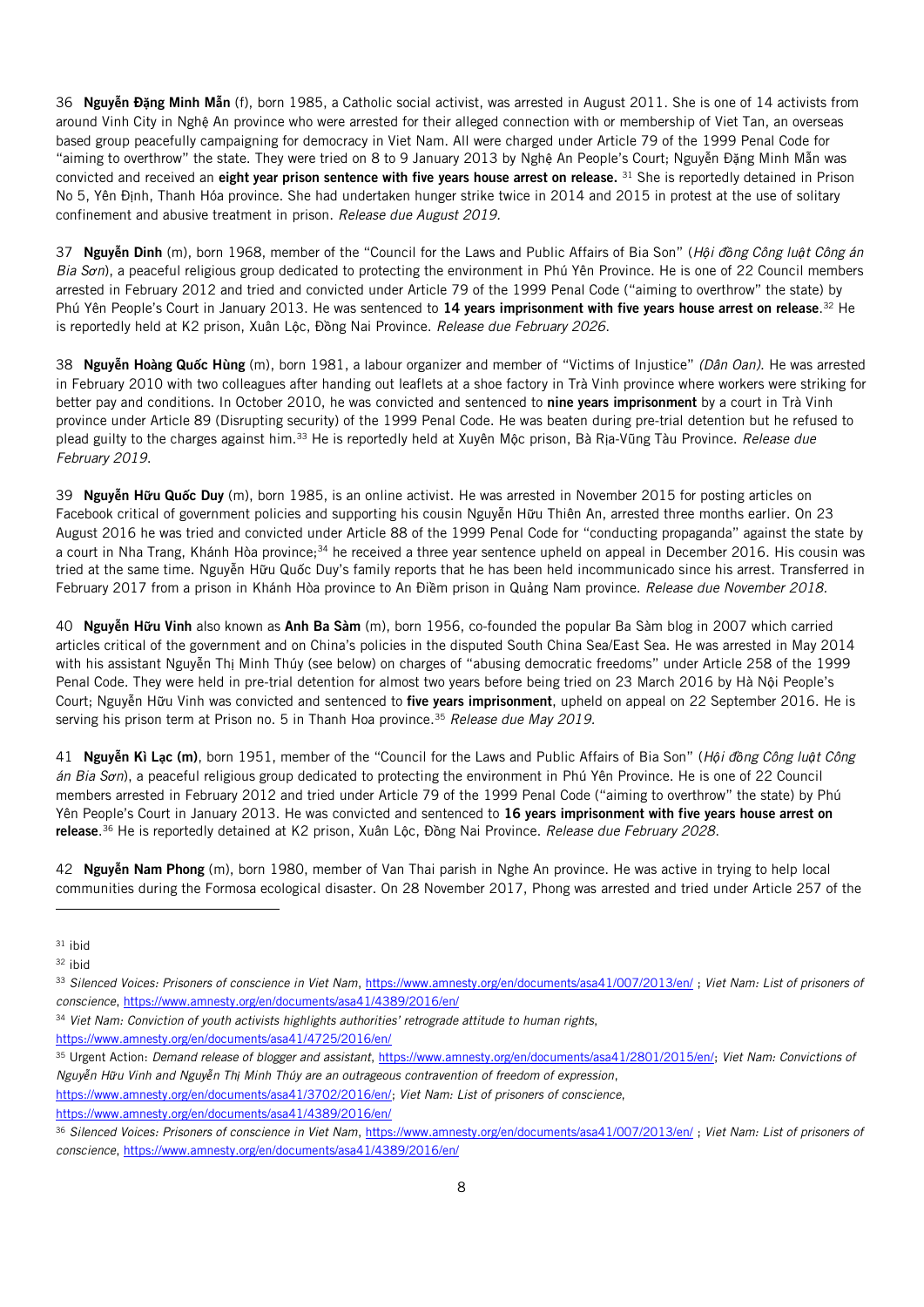36 Nguy**ễ**n Đ**ặ**ng Minh M**ẫ**n (f), born 1985, a Catholic social activist, was arrested in August 2011. She is one of 14 activists from around Vinh City in Nghệ An province who were arrested for their alleged connection with or membership of Viet Tan, an overseas based group peacefully campaigning for democracy in Viet Nam. All were charged under Article 79 of the 1999 Penal Code for "aiming to overthrow" the state. They were tried on 8 to 9 January 2013 by Nghệ An People's Court; Nguyễn Đặng Minh Mẫn was convicted and received an eight year prison sentence with five years house arrest on release. <sup>31</sup> She is reportedly detained in Prison No 5, Yên Định, Thanh Hóa province. She had undertaken hunger strike twice in 2014 and 2015 in protest at the use of solitary confinement and abusive treatment in prison. *Release due August 2019.*

37 Nguy**ễ**n Dinh (m), born 1968, member of the "Council for the Laws and Public Affairs of Bia Son" (*Hội đồng Công luật Công án Bia Sơn*), a peaceful religious group dedicated to protecting the environment in Phú Yên Province. He is one of 22 Council members arrested in February 2012 and tried and convicted under Article 79 of the 1999 Penal Code ("aiming to overthrow" the state) by Phú Yên People's Court in January 2013. He was sentenced to **14 years imprisonment with five years house arrest on release**.<sup>32</sup> He is reportedly held at K2 prison, Xuân Lộc, Đồng Nai Province. *Release due February 2026*.

38 Nguy**ễ**n Hoàng Qu**ố**c Hùng (m), born 1981, a labour organizer and member of "Victims of Injustice" *(Dân Oan)*. He was arrested in February 2010 with two colleagues after handing out leaflets at a shoe factory in Trà Vinh province where workers were striking for better pay and conditions. In October 2010, he was convicted and sentenced to nine years imprisonment by a court in Trà Vinh province under Article 89 (Disrupting security) of the 1999 Penal Code. He was beaten during pre-trial detention but he refused to plead guilty to the charges against him.<sup>33</sup> He is reportedly held at Xuyên Mộc prison, Bà Rịa-Vũng Tàu Province. *Release due February 2019*.

39 Nguy**ễ**n H**ữ**u Qu**ố**c Duy (m), born 1985, is an online activist. He was arrested in November 2015 for posting articles on Facebook critical of government policies and supporting his cousin Nguyễn Hữu Thiên An, arrested three months earlier. On 23 August 2016 he was tried and convicted under Article 88 of the 1999 Penal Code for "conducting propaganda" against the state by a court in Nha Trang, Khánh Hòa province;<sup>34</sup> he received a three year sentence upheld on appeal in December 2016. His cousin was tried at the same time. Nguyễn Hữu Quốc Duy's family reports that he has been held incommunicado since his arrest. Transferred in February 2017 from a prison in Khánh Hòa province to An Điềm prison in Quảng Nam province. *Release due November 2018.*

40 Nguy**ễ**n H**ữ**u Vinh also known as Anh Ba Sàm (m), born 1956, co-founded the popular Ba Sàm blog in 2007 which carried articles critical of the government and on China's policies in the disputed South China Sea/East Sea. He was arrested in May 2014 with his assistant Nguyễn Thị Minh Thúy (see below) on charges of "abusing democratic freedoms" under Article 258 of the 1999 Penal Code. They were held in pre-trial detention for almost two years before being tried on 23 March 2016 by Hà Nội People's Court; Nguyễn Hữu Vinh was convicted and sentenced to five years imprisonment, upheld on appeal on 22 September 2016. He is serving his prison term at Prison no. 5 in Thanh Hoa province. <sup>35</sup> *Release due May 2019.*

41 Nguy**ễ**n Kì L**ạ**c (m), born 1951, member of the "Council for the Laws and Public Affairs of Bia Son" (*Hội đồng Công luật Công án Bia Sơn*), a peaceful religious group dedicated to protecting the environment in Phú Yên Province. He is one of 22 Council members arrested in February 2012 and tried under Article 79 of the 1999 Penal Code ("aiming to overthrow" the state) by Phú Yên People's Court in January 2013. He was convicted and sentenced to 16 years imprisonment with five years house arrest on release. <sup>36</sup> He is reportedly detained at K2 prison, Xuân Lộc, Đồng Nai Province. *Release due February 2028*.

42 Nguy**ễ**n Nam Phong (m), born 1980, member of Van Thai parish in Nghe An province. He was active in trying to help local communities during the Formosa ecological disaster. On 28 November 2017, Phong was arrested and tried under Article 257 of the

- <sup>33</sup> *Silenced Voices: Prisoners of conscience in Viet Nam*[, https://www.amnesty.org/en/documents/asa41/007/2013/en/](https://www.amnesty.org/en/documents/asa41/007/2013/en/) ; *Viet Nam: List of prisoners of conscience*[, https://www.amnesty.org/en/documents/asa41/4389/2016/en/](https://www.amnesty.org/en/documents/asa41/4389/2016/en/)
- <sup>34</sup> *Viet Nam: Conviction of youth activists highlights authorities' retrograde attitude to human rights*,
- <https://www.amnesty.org/en/documents/asa41/4725/2016/en/>
- <sup>35</sup> Urgent Action: *Demand release of blogger and assistant*[, https://www.amnesty.org/en/documents/asa41/2801/2015/en/;](https://www.amnesty.org/en/documents/asa41/2801/2015/en/) *Viet Nam: Convictions of Nguyễn Hữu Vinh and Nguyễn Thị Minh Thúy are an outrageous contravention of freedom of expression*,
- [https://www.amnesty.org/en/documents/asa41/3702/2016/en/;](https://www.amnesty.org/en/documents/asa41/3702/2016/en/) *Viet Nam: List of prisoners of conscience*,
- <https://www.amnesty.org/en/documents/asa41/4389/2016/en/>

<sup>31</sup> ibid

<sup>32</sup> ibid

<sup>36</sup> *Silenced Voices: Prisoners of conscience in Viet Nam*[, https://www.amnesty.org/en/documents/asa41/007/2013/en/](https://www.amnesty.org/en/documents/asa41/007/2013/en/) ; *Viet Nam: List of prisoners of conscience*[, https://www.amnesty.org/en/documents/asa41/4389/2016/en/](https://www.amnesty.org/en/documents/asa41/4389/2016/en/)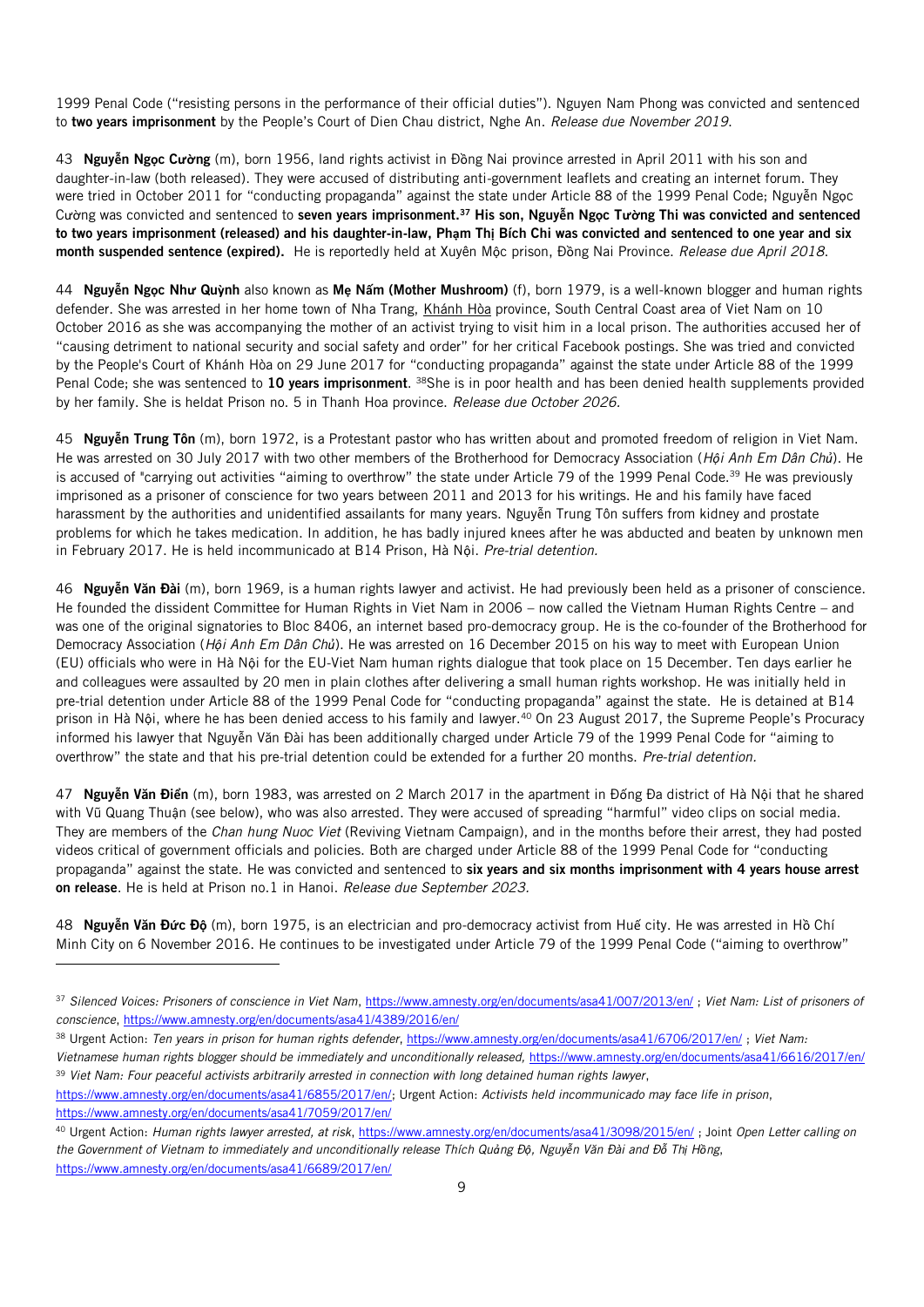1999 Penal Code ("resisting persons in the performance of their official duties"). Nguyen Nam Phong was convicted and sentenced to two years imprisonment by the People's Court of Dien Chau district, Nghe An. *Release due November 2019*.

43 Nguy**ễ**n Ng**ọ**c C**ườ**ng (m), born 1956, land rights activist in Đồng Nai province arrested in April 2011 with his son and daughter-in-law (both released). They were accused of distributing anti-government leaflets and creating an internet forum. They were tried in October 2011 for "conducting propaganda" against the state under Article 88 of the 1999 Penal Code; Nguyễn Ngọc Cường was convicted and sentenced to seven years imprisonment.<sup>37</sup> His son, Nguy**ễ**n Ng**ọ**c T**ườ**ng Thi was convicted and sentenced to two years imprisonment (released) and his daughter-in-law, Ph**ạ**m Th**ị** Bích Chi was convicted and sentenced to one year and six month suspended sentence (expired). He is reportedly held at Xuyên Mộc prison, Đồng Nai Province. *Release due April 2018*.

44 Nguy**ễ**n Ng**ọ**c Nh**ư** Qu**ỳ**nh also known as M**ẹ** N**ấ**m (Mother Mushroom) (f), born 1979, is a well-known blogger and human rights defender. She was arrested in her home town of Nha Trang, [Khánh](https://en.wikipedia.org/wiki/Kh%C3%A1nh_H%C3%B2a_Province) Hòa province, South Central Coast area of Viet Nam on 10 October 2016 as she was accompanying the mother of an activist trying to visit him in a local prison. The authorities accused her of "causing detriment to national security and social safety and order" for her critical Facebook postings. She was tried and convicted by the People's Court of Khánh Hòa on 29 June 2017 for "conducting propaganda" against the state under Article 88 of the 1999 Penal Code; she was sentenced to 10 years imprisonment. <sup>38</sup>She is in poor health and has been denied health supplements provided by her family. She is heldat Prison no. 5 in Thanh Hoa province. *Release due October 2026.*

45 Nguy**ễ**n Trung Tôn (m), born 1972, is a Protestant pastor who has written about and promoted freedom of religion in Viet Nam. He was arrested on 30 July 2017 with two other members of the Brotherhood for Democracy Association (*Hội Anh Em Dân Chủ*). He is accused of "carrying out activities "aiming to overthrow" the state under Article 79 of the 1999 Penal Code.<sup>39</sup> He was previously imprisoned as a prisoner of conscience for two years between 2011 and 2013 for his writings. He and his family have faced harassment by the authorities and unidentified assailants for many years. Nguyễn Trung Tôn suffers from kidney and prostate problems for which he takes medication. In addition, he has badly injured knees after he was abducted and beaten by unknown men in February 2017. He is held incommunicado at B14 Prison, Hà Nội. *Pre-trial detention.*

46 Nguy**ễ**n Văn Đài (m), born 1969, is a human rights lawyer and activist. He had previously been held as a prisoner of conscience. He founded the dissident Committee for Human Rights in Viet Nam in 2006 – now called the Vietnam Human Rights Centre – and was one of the original signatories to Bloc 8406, an internet based pro-democracy group. He is the co-founder of the Brotherhood for Democracy Association (*Hội Anh Em Dân Chủ*). He was arrested on 16 December 2015 on his way to meet with European Union (EU) officials who were in Hà Nội for the EU-Viet Nam human rights dialogue that took place on 15 December. Ten days earlier he and colleagues were assaulted by 20 men in plain clothes after delivering a small human rights workshop. He was initially held in pre-trial detention under Article 88 of the 1999 Penal Code for "conducting propaganda" against the state. He is detained at B14 prison in Hà Nội, where he has been denied access to his family and lawyer.<sup>40</sup> On 23 August 2017, the Supreme People's Procuracy informed his lawyer that Nguyễn Văn Đài has been additionally charged under Article 79 of the 1999 Penal Code for "aiming to overthrow" the state and that his pre-trial detention could be extended for a further 20 months. *Pre-trial detention.*

47 Nguy**ễ**n Văn Đi**ể**n (m), born 1983, was arrested on 2 March 2017 in the apartment in Đống Đa district of Hà Nội that he shared with Vũ Quang Thuận (see below), who was also arrested. They were accused of spreading "harmful" video clips on social media. They are members of the *Chan hung Nuoc Viet* (Reviving Vietnam Campaign), and in the months before their arrest, they had posted videos critical of government officials and policies. Both are charged under Article 88 of the 1999 Penal Code for "conducting propaganda" against the state. He was convicted and sentenced to six years and six months imprisonment with 4 years house arrest on release. He is held at Prison no.1 in Hanoi. *Release due September 2023.*

48 Nguy**ễ**n Văn Đ**ứ**c Đ**ộ** (m), born 1975, is an electrician and pro-democracy activist from Huế city. He was arrested in Hồ Chí Minh City on 6 November 2016. He continues to be investigated under Article 79 of the 1999 Penal Code ("aiming to overthrow"

<sup>38</sup> Urgent Action: *Ten years in prison for human rights defender*,<https://www.amnesty.org/en/documents/asa41/6706/2017/en/> ; *Viet Nam:* 

*Vietnamese human rights blogger should be immediately and unconditionally released,* <https://www.amnesty.org/en/documents/asa41/6616/2017/en/> <sup>39</sup> *Viet Nam: Four peaceful activists arbitrarily arrested in connection with long detained human rights lawyer*,

j

<sup>40</sup> Urgent Action: *Human rights lawyer arrested, at risk*,<https://www.amnesty.org/en/documents/asa41/3098/2015/en/> ; Joint *Open Letter calling on*  the Government of Vietnam to immediately and unconditionally release Thích Quảng Độ, Nguyễn Văn Đài and Đỗ Thị Hồng, <https://www.amnesty.org/en/documents/asa41/6689/2017/en/>

<sup>37</sup> *Silenced Voices: Prisoners of conscience in Viet Nam*[, https://www.amnesty.org/en/documents/asa41/007/2013/en/](https://www.amnesty.org/en/documents/asa41/007/2013/en/) ; *Viet Nam: List of prisoners of conscience*[, https://www.amnesty.org/en/documents/asa41/4389/2016/en/](https://www.amnesty.org/en/documents/asa41/4389/2016/en/)

[https://www.amnesty.org/en/documents/asa41/6855/2017/en/;](https://www.amnesty.org/en/documents/asa41/6855/2017/en/) Urgent Action: *Activists held incommunicado may face life in prison*, <https://www.amnesty.org/en/documents/asa41/7059/2017/en/>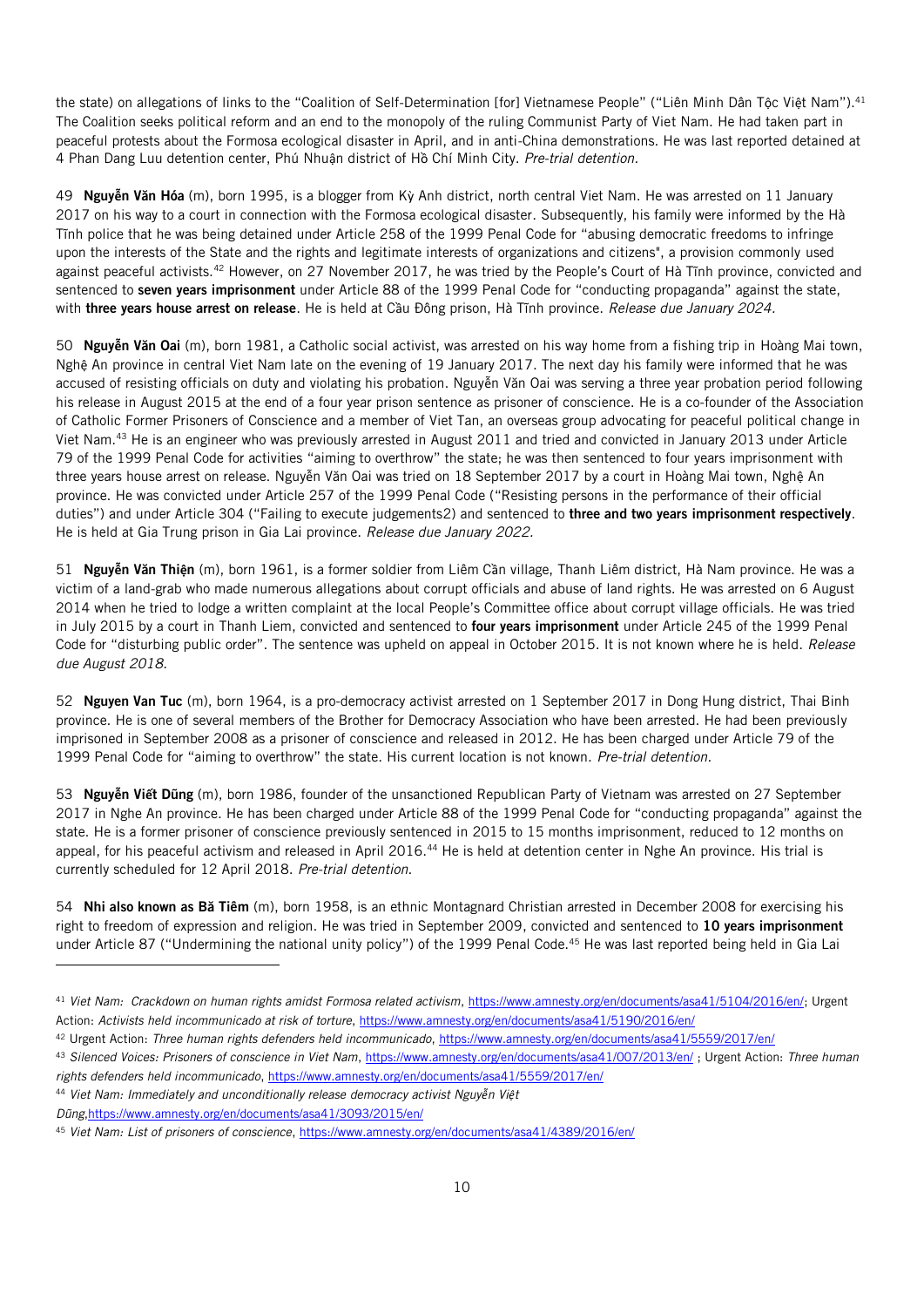the state) on allegations of links to the "Coalition of Self-Determination [for] Vietnamese People" ("Liên Minh Dân Tộc Việt Nam").<sup>41</sup> The Coalition seeks political reform and an end to the monopoly of the ruling Communist Party of Viet Nam. He had taken part in peaceful protests about the Formosa ecological disaster in April, and in anti-China demonstrations. He was last reported detained at 4 Phan Dang Luu detention center, Phú Nhuận district of Hồ Chí Minh City. *Pre-trial detention.*

49 Nguy**ễ**n Văn Hóa (m), born 1995, is a blogger from Kỳ Anh district, north central Viet Nam. He was arrested on 11 January 2017 on his way to a court in connection with the Formosa ecological disaster. Subsequently, his family were informed by the Hà Tĩnh police that he was being detained under Article 258 of the 1999 Penal Code for "abusing democratic freedoms to infringe upon the interests of the State and the rights and legitimate interests of organizations and citizens", a provision commonly used against peaceful activists.<sup>42</sup> However, on 27 November 2017, he was tried by the People's Court of Hà Tĩnh province, convicted and sentenced to seven years imprisonment under Article 88 of the 1999 Penal Code for "conducting propaganda" against the state, with three years house arrest on release. He is held at Cầu Đông prison, Hà Tĩnh province. *Release due January 2024.*

50 Nguy**ễ**n Văn Oai (m), born 1981, a Catholic social activist, was arrested on his way home from a fishing trip in [Hoàng Mai](https://vi.wikipedia.org/wiki/Ho%C3%A0ng_Mai_(th%E1%BB%8B_x%C3%A3)) town, Nghệ An province in central Viet Nam late on the evening of 19 January 2017. The next day his family were informed that he was accused of resisting officials on duty and violating his probation. Nguyễn Văn Oai was serving a three year probation period following his release in August 2015 at the end of a four year prison sentence as prisoner of conscience. He is a co-founder of the Association of Catholic Former Prisoners of Conscience and a member of Viet Tan, an overseas group advocating for peaceful political change in Viet Nam.<sup>43</sup> He is an engineer who was previously arrested in August 2011 and tried and convicted in January 2013 under Article 79 of the 1999 Penal Code for activities "aiming to overthrow" the state; he was then sentenced to four years imprisonment with three years house arrest on release. Nguyễn Văn Oai was tried on 18 September 2017 by a court in [Hoàng Mai](https://vi.wikipedia.org/wiki/Ho%C3%A0ng_Mai_(th%E1%BB%8B_x%C3%A3)) town, Nghệ An province. He was convicted under Article 257 of the 1999 Penal Code ("Resisting persons in the performance of their official duties") and under Article 304 ("Failing to execute judgements2) and sentenced to three and two years imprisonment respectively. He is held at Gia Trung prison in Gia Lai province. *Release due January 2022.*

51 Nguy**ễ**n Văn Thi**ệ**n (m), born 1961, is a former soldier from Liêm Cần village, Thanh Liêm district, Hà Nam province. He was a victim of a land-grab who made numerous allegations about corrupt officials and abuse of land rights. He was arrested on 6 August 2014 when he tried to lodge a written complaint at the local People's Committee office about corrupt village officials. He was tried in July 2015 by a court in Thanh Liem, convicted and sentenced to four years imprisonment under Article 245 of the 1999 Penal Code for "disturbing public order". The sentence was upheld on appeal in October 2015. It is not known where he is held. *Release due August 2018*.

52 Nguyen Van Tuc (m), born 1964, is a pro-democracy activist arrested on 1 September 2017 in Dong Hung district, Thai Binh province. He is one of several members of the Brother for Democracy Association who have been arrested. He had been previously imprisoned in September 2008 as a prisoner of conscience and released in 2012. He has been charged under Article 79 of the 1999 Penal Code for "aiming to overthrow" the state. His current location is not known. *Pre-trial detention.*

53 Nguy**ễ**n Vi**ế**t Dũng (m), born 1986, founder of the unsanctioned Republican Party of Vietnam was arrested on 27 September 2017 in Nghe An province. He has been charged under Article 88 of the 1999 Penal Code for "conducting propaganda" against the state. He is a former prisoner of conscience previously sentenced in 2015 to 15 months imprisonment, reduced to 12 months on appeal, for his peaceful activism and released in April 2016.<sup>44</sup> He is held at detention center in Nghe An province. His trial is currently scheduled for 12 April 2018. *Pre-trial detention*.

54 Nhi also known as Bă Tiêm (m), born 1958, is an ethnic Montagnard Christian arrested in December 2008 for exercising his right to freedom of expression and religion. He was tried in September 2009, convicted and sentenced to 10 years imprisonment under Article 87 ("Undermining the national unity policy") of the 1999 Penal Code.<sup>45</sup> He was last reported being held in Gia Lai

<sup>42</sup> Urgent Action: *Three human rights defenders held incommunicado*[, https://www.amnesty.org/en/documents/asa41/5559/2017/en/](https://www.amnesty.org/en/documents/asa41/5559/2017/en/)

<sup>44</sup> *Viet Nam: Immediately and unconditionally release democracy activist Nguyễn Việt* 

<sup>41</sup> *Viet Nam: Crackdown on human rights amidst Formosa related activism*[, https://www.amnesty.org/en/documents/asa41/5104/2016/en/;](https://www.amnesty.org/en/documents/asa41/5104/2016/en/) Urgent Action: *Activists held incommunicado at risk of torture*[, https://www.amnesty.org/en/documents/asa41/5190/2016/en/](https://www.amnesty.org/en/documents/asa41/5190/2016/en/)

<sup>43</sup> *Silenced Voices: Prisoners of conscience in Viet Nam*[, https://www.amnesty.org/en/documents/asa41/007/2013/en/](https://www.amnesty.org/en/documents/asa41/007/2013/en/) ; Urgent Action: *Three human rights defenders held incommunicado*[, https://www.amnesty.org/en/documents/asa41/5559/2017/en/](https://www.amnesty.org/en/documents/asa41/5559/2017/en/)

*Dũng*[,https://www.amnesty.org/en/documents/asa41/3093/2015/en/](https://www.amnesty.org/en/documents/asa41/3093/2015/en/)

<sup>45</sup> *Viet Nam: List of prisoners of conscience*[, https://www.amnesty.org/en/documents/asa41/4389/2016/en/](https://www.amnesty.org/en/documents/asa41/4389/2016/en/)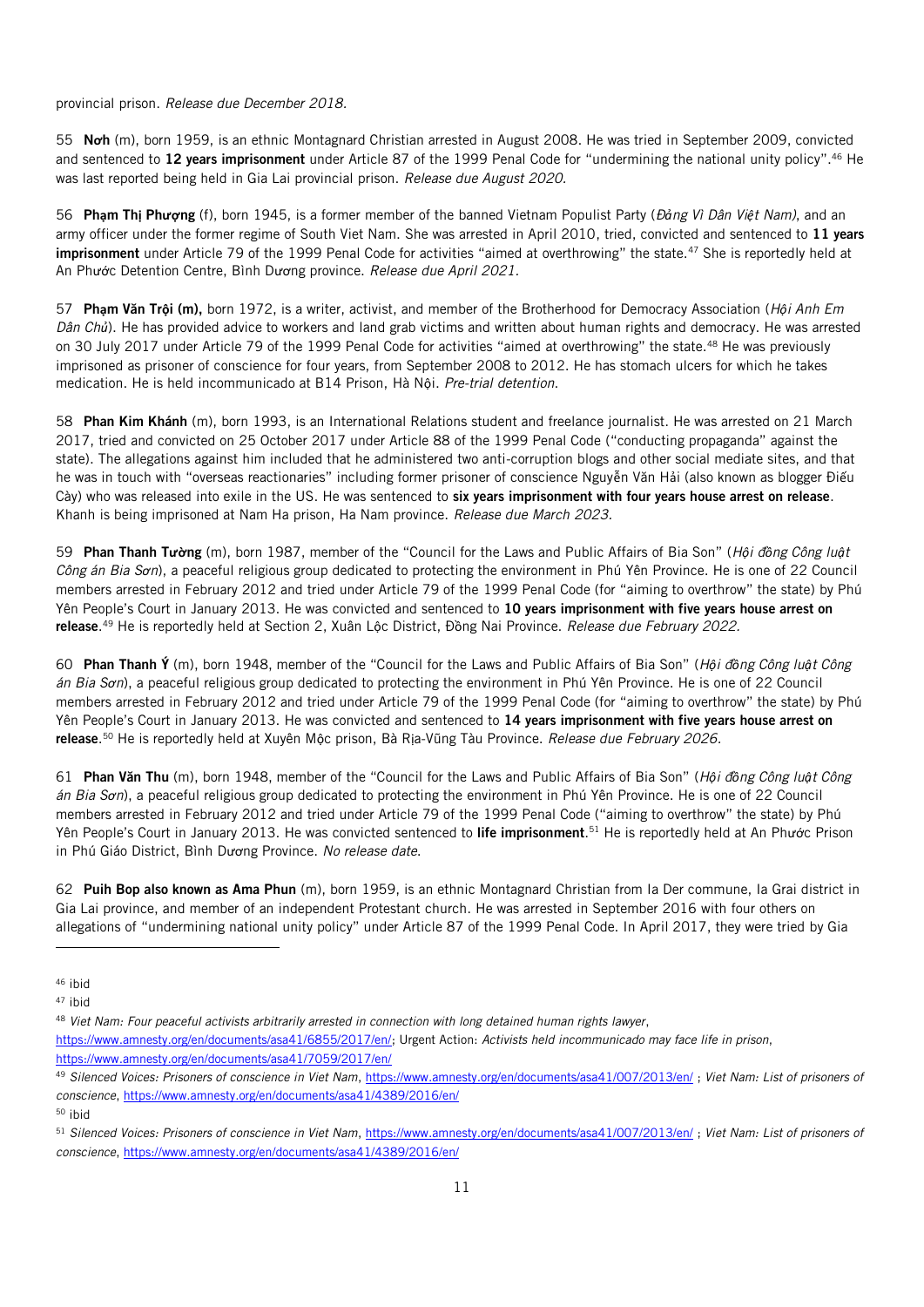## provincial prison. *Release due December 2018.*

55 N**ơ**h (m), born 1959, is an ethnic Montagnard Christian arrested in August 2008. He was tried in September 2009, convicted and sentenced to **12 years imprisonment** under Article 87 of the 1999 Penal Code for "undermining the national unity policy".<sup>46</sup> He was last reported being held in Gia Lai provincial prison. *Release due August 2020.*

56 Ph**ạ**m Th**ị** Ph**ượ**ng (f), born 1945, is a former member of the banned Vietnam Populist Party (*Đảng Vì Dân Việt Nam)*, and an army officer under the former regime of South Viet Nam. She was arrested in April 2010, tried, convicted and sentenced to 11 years imprisonment under Article 79 of the 1999 Penal Code for activities "aimed at overthrowing" the state.<sup>47</sup> She is reportedly held at An Phước Detention Centre, Bình Dương province. *Release due April 2021.*

57 Ph**ạ**m Văn Tr**ộ**i (m), born 1972, is a writer, activist, and member of the Brotherhood for Democracy Association (*Hội Anh Em Dân Chủ*). He has provided advice to workers and land grab victims and written about human rights and democracy. He was arrested on 30 July 2017 under Article 79 of the 1999 Penal Code for activities "aimed at overthrowing" the state.<sup>48</sup> He was previously imprisoned as prisoner of conscience for four years, from September 2008 to 2012. He has stomach ulcers for which he takes medication. He is held incommunicado at B14 Prison, Hà Nội. *Pre-trial detention*.

58 Phan Kim Khánh (m), born 1993, is an International Relations student and freelance journalist. He was arrested on 21 March 2017, tried and convicted on 25 October 2017 under Article 88 of the 1999 Penal Code ("conducting propaganda" against the state). The allegations against him included that he administered two anti-corruption blogs and other social mediate sites, and that he was in touch with "overseas reactionaries" including former prisoner of conscience Nguyễn Văn Hải (also known as blogger Điếu Cày) who was released into exile in the US. He was sentenced to six years imprisonment with four years house arrest on release. Khanh is being imprisoned at Nam Ha prison, Ha Nam province. *Release due March 2023.*

59 Phan Thanh T**ườ**ng (m), born 1987, member of the "Council for the Laws and Public Affairs of Bia Son" (*Hội đồng Công luật Công án Bia Sơn*), a peaceful religious group dedicated to protecting the environment in Phú Yên Province. He is one of 22 Council members arrested in February 2012 and tried under Article 79 of the 1999 Penal Code (for "aiming to overthrow" the state) by Phú Yên People's Court in January 2013. He was convicted and sentenced to 10 years imprisonment with five years house arrest on release. <sup>49</sup> He is reportedly held at Section 2, Xuân Lộc District, Đồng Nai Province. *Release due February 2022.*

60 Phan Thanh Ý (m), born 1948, member of the "Council for the Laws and Public Affairs of Bia Son" (*Hội đồng Công luật Công án Bia Sơn*), a peaceful religious group dedicated to protecting the environment in Phú Yên Province. He is one of 22 Council members arrested in February 2012 and tried under Article 79 of the 1999 Penal Code (for "aiming to overthrow" the state) by Phú Yên People's Court in January 2013. He was convicted and sentenced to 14 years imprisonment with five years house arrest on release. <sup>50</sup> He is reportedly held at Xuyên Mộc prison, Bà Rịa-Vũng Tàu Province. *Release due February 2026.*

61 Phan Văn Thu (m), born 1948, member of the "Council for the Laws and Public Affairs of Bia Son" (*Hội đồng Công luật Công án Bia Sơn*), a peaceful religious group dedicated to protecting the environment in Phú Yên Province. He is one of 22 Council members arrested in February 2012 and tried under Article 79 of the 1999 Penal Code ("aiming to overthrow" the state) by Phú Yên People's Court in January 2013. He was convicted sentenced to **life imprisonment**.<sup>51</sup> He is reportedly held at An Phước Prison in Phú Giáo District, Bình Dương Province. *No release date*.

62 Puih Bop also known as Ama Phun (m), born 1959, is an ethnic Montagnard Christian from Ia Der commune, Ia Grai district in Gia Lai province, and member of an independent Protestant church. He was arrested in September 2016 with four others on allegations of "undermining national unity policy" under Article 87 of the 1999 Penal Code. In April 2017, they were tried by Gia

l

[https://www.amnesty.org/en/documents/asa41/6855/2017/en/;](https://www.amnesty.org/en/documents/asa41/6855/2017/en/) Urgent Action: *Activists held incommunicado may face life in prison*, <https://www.amnesty.org/en/documents/asa41/7059/2017/en/>

<sup>46</sup> ibid

<sup>47</sup> ibid

<sup>48</sup> *Viet Nam: Four peaceful activists arbitrarily arrested in connection with long detained human rights lawyer*,

<sup>49</sup> *Silenced Voices: Prisoners of conscience in Viet Nam*[, https://www.amnesty.org/en/documents/asa41/007/2013/en/](https://www.amnesty.org/en/documents/asa41/007/2013/en/) ; *Viet Nam: List of prisoners of conscience*[, https://www.amnesty.org/en/documents/asa41/4389/2016/en/](https://www.amnesty.org/en/documents/asa41/4389/2016/en/)

<sup>50</sup> ibid

<sup>51</sup> *Silenced Voices: Prisoners of conscience in Viet Nam*[, https://www.amnesty.org/en/documents/asa41/007/2013/en/](https://www.amnesty.org/en/documents/asa41/007/2013/en/) ; *Viet Nam: List of prisoners of conscience*[, https://www.amnesty.org/en/documents/asa41/4389/2016/en/](https://www.amnesty.org/en/documents/asa41/4389/2016/en/)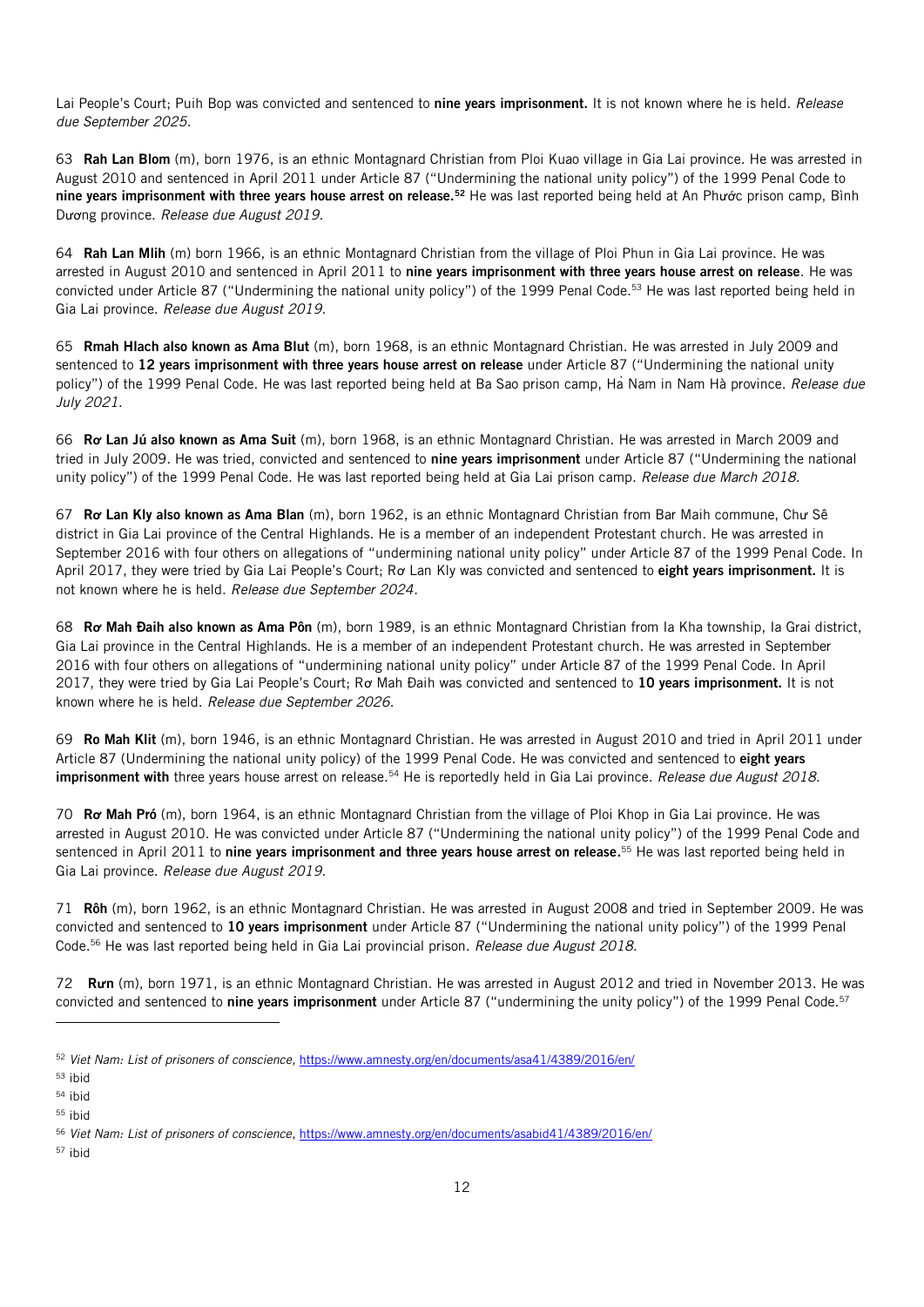Lai People's Court; Puih Bop was convicted and sentenced to nine years imprisonment. It is not known where he is held. *Release due September 2025.*

63 Rah Lan Blom (m), born 1976, is an ethnic Montagnard Christian from Ploi Kuao village in Gia Lai province. He was arrested in August 2010 and sentenced in April 2011 under Article 87 ("Undermining the national unity policy") of the 1999 Penal Code to nine years imprisonment with three years house arrest on release.<sup>52</sup> He was last reported being held at An Phước prison camp, Bình Dương province. *Release due August 2019*.

64 Rah Lan Mlih (m) born 1966, is an ethnic Montagnard Christian from the village of Ploi Phun in Gia Lai province. He was arrested in August 2010 and sentenced in April 2011 to nine years imprisonment with three years house arrest on release. He was convicted under Article 87 ("Undermining the national unity policy") of the 1999 Penal Code.<sup>53</sup> He was last reported being held in Gia Lai province. *Release due August 2019.*

65 Rmah Hlach also known as Ama Blut (m), born 1968, is an ethnic Montagnard Christian. He was arrested in July 2009 and sentenced to 12 years imprisonment with three years house arrest on release under Article 87 ("Undermining the national unity policy") of the 1999 Penal Code. He was last reported being held at Ba Sao prison camp, Hà Nam in Nam Hà province. *Release due July 2021.*

66 R**ơ** Lan Jú also known as Ama Suit (m), born 1968, is an ethnic Montagnard Christian. He was arrested in March 2009 and tried in July 2009. He was tried, convicted and sentenced to nine years imprisonment under Article 87 ("Undermining the national unity policy") of the 1999 Penal Code. He was last reported being held at Gia Lai prison camp. *Release due March 2018.*

67 R**ơ** Lan Kly also known as Ama Blan (m), born 1962, is an ethnic Montagnard Christian from Bar Maih commune, Chư Sê district in Gia Lai province of the Central Highlands. He is a member of an independent Protestant church. He was arrested in September 2016 with four others on allegations of "undermining national unity policy" under Article 87 of the 1999 Penal Code. In April 2017, they were tried by Gia Lai People's Court; Ro Lan Kly was convicted and sentenced to eight years imprisonment. It is not known where he is held. *Release due September 2024.*

68 R**ơ** Mah Đaih also known as Ama Pôn (m), born 1989, is an ethnic Montagnard Christian from Ia Kha township, Ia Grai district, Gia Lai province in the Central Highlands. He is a member of an independent Protestant church. He was arrested in September 2016 with four others on allegations of "undermining national unity policy" under Article 87 of the 1999 Penal Code. In April 2017, they were tried by Gia Lai People's Court; Ro Mah Đaih was convicted and sentenced to 10 years imprisonment. It is not known where he is held. *Release due September 2026.*

69 Ro Mah Klit (m), born 1946, is an ethnic Montagnard Christian. He was arrested in August 2010 and tried in April 2011 under Article 87 (Undermining the national unity policy) of the 1999 Penal Code. He was convicted and sentenced to eight years imprisonment with three years house arrest on release.<sup>54</sup> He is reportedly held in Gia Lai province. *Release due August 2018*.

70 R**ơ** Mah Pró (m), born 1964, is an ethnic Montagnard Christian from the village of Ploi Khop in Gia Lai province. He was arrested in August 2010. He was convicted under Article 87 ("Undermining the national unity policy") of the 1999 Penal Code and sentenced in April 2011 to **nine years imprisonment and three years house arrest on release.**<sup>55</sup> He was last reported being held in Gia Lai province. *Release due August 2019.*

71 Rôh (m), born 1962, is an ethnic Montagnard Christian. He was arrested in August 2008 and tried in September 2009. He was convicted and sentenced to 10 years imprisonment under Article 87 ("Undermining the national unity policy") of the 1999 Penal Code.<sup>56</sup> He was last reported being held in Gia Lai provincial prison. *Release due August 2018.*

72 R**ư**n (m), born 1971, is an ethnic Montagnard Christian. He was arrested in August 2012 and tried in November 2013. He was convicted and sentenced to nine years imprisonment under Article 87 ("undermining the unity policy") of the 1999 Penal Code.<sup>57</sup>

l

<sup>52</sup> *Viet Nam: List of prisoners of conscience*[, https://www.amnesty.org/en/documents/asa41/4389/2016/en/](https://www.amnesty.org/en/documents/asa41/4389/2016/en/)

<sup>53</sup> ibid

<sup>54</sup> ibid

<sup>55</sup> ibid

<sup>56</sup> *Viet Nam: List of prisoners of conscience*[, https://www.amnesty.org/en/documents/asabid41/4389/2016/en/](https://www.amnesty.org/en/documents/asabid41/4389/2016/en/)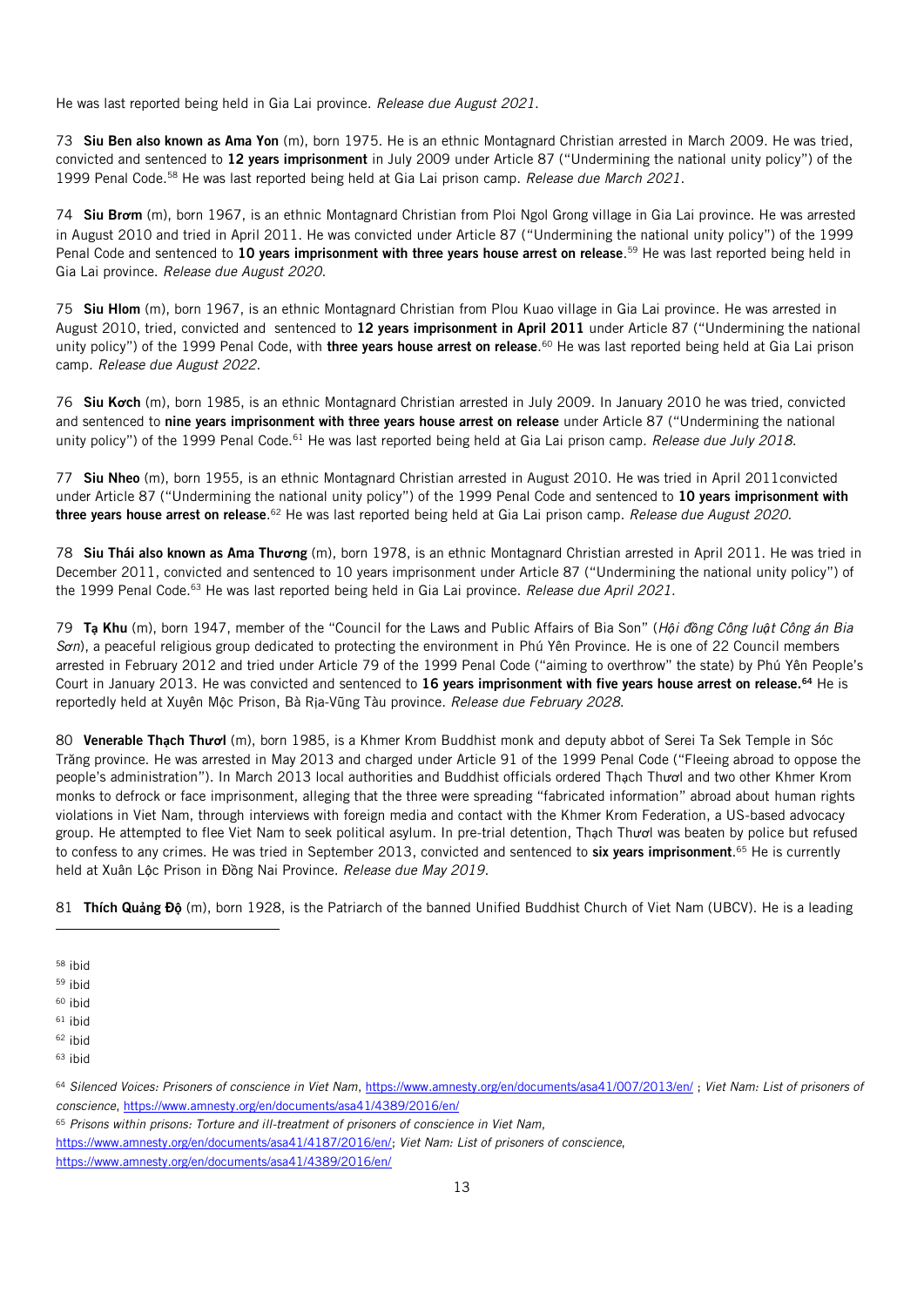He was last reported being held in Gia Lai province. *Release due August 2021*.

73 Siu Ben also known as Ama Yon (m), born 1975. He is an ethnic Montagnard Christian arrested in March 2009. He was tried, convicted and sentenced to 12 years imprisonment in July 2009 under Article 87 ("Undermining the national unity policy") of the 1999 Penal Code.<sup>58</sup> He was last reported being held at Gia Lai prison camp. *Release due March 2021*.

74 Siu Br**ơ**m (m), born 1967, is an ethnic Montagnard Christian from Ploi Ngol Grong village in Gia Lai province. He was arrested in August 2010 and tried in April 2011. He was convicted under Article 87 ("Undermining the national unity policy") of the 1999 Penal Code and sentenced to 10 years imprisonment with three years house arrest on release.<sup>59</sup> He was last reported being held in Gia Lai province. *Release due August 2020*.

75 Siu Hlom (m), born 1967, is an ethnic Montagnard Christian from Plou Kuao village in Gia Lai province. He was arrested in August 2010, tried, convicted and sentenced to 12 years imprisonment in April 2011 under Article 87 ("Undermining the national unity policy") of the 1999 Penal Code, with **three years house arrest on release**.<sup>60</sup> He was last reported being held at Gia Lai prison camp. *Release due August 2022.*

76 Siu K**ơ**ch (m), born 1985, is an ethnic Montagnard Christian arrested in July 2009. In January 2010 he was tried, convicted and sentenced to nine years imprisonment with three years house arrest on release under Article 87 ("Undermining the national unity policy") of the 1999 Penal Code.<sup>61</sup> He was last reported being held at Gia Lai prison camp. *Release due July 2018*.

77 Siu Nheo (m), born 1955, is an ethnic Montagnard Christian arrested in August 2010. He was tried in April 2011convicted under Article 87 ("Undermining the national unity policy") of the 1999 Penal Code and sentenced to 10 years imprisonment with three years house arrest on release.<sup>62</sup> He was last reported being held at Gia Lai prison camp. *Release due August 2020.* 

78 Siu Thái also known as Ama Th**ươ**ng (m), born 1978, is an ethnic Montagnard Christian arrested in April 2011. He was tried in December 2011, convicted and sentenced to 10 years imprisonment under Article 87 ("Undermining the national unity policy") of the 1999 Penal Code.<sup>63</sup> He was last reported being held in Gia Lai province. *Release due April 2021.*

79 T**ạ** Khu (m), born 1947, member of the "Council for the Laws and Public Affairs of Bia Son" (*Hội đồng Công luật Công án Bia Sơn*), a peaceful religious group dedicated to protecting the environment in Phú Yên Province. He is one of 22 Council members arrested in February 2012 and tried under Article 79 of the 1999 Penal Code ("aiming to overthrow" the state) by Phú Yên People's Court in January 2013. He was convicted and sentenced to 16 years imprisonment with five years house arrest on release.<sup>64</sup> He is reportedly held at Xuyên Mộc Prison, Bà Rịa-Vũng Tàu province. *Release due February 2028*.

80 Venerable Th**ạ**ch Th**ươ**l (m), born 1985, is a Khmer Krom Buddhist monk and deputy abbot of Serei Ta Sek Temple in Sóc Trăng province. He was arrested in May 2013 and charged under Article 91 of the 1999 Penal Code ("Fleeing abroad to oppose the people's administration"). In March 2013 local authorities and Buddhist officials ordered Thạch Thươl and two other Khmer Krom monks to defrock or face imprisonment, alleging that the three were spreading "fabricated information" abroad about human rights violations in Viet Nam, through interviews with foreign media and contact with the Khmer Krom Federation, a US-based advocacy group. He attempted to flee Viet Nam to seek political asylum. In pre-trial detention, Thạch Thươl was beaten by police but refused to confess to any crimes. He was tried in September 2013, convicted and sentenced to **six years imprisonment**.<sup>65</sup> He is currently held at Xuân Lộc Prison in Đồng Nai Province. *Release due May 2019*.

81 Thích Qu**ả**ng Đ**ộ** (m), born 1928, is the Patriarch of the banned Unified Buddhist Church of Viet Nam (UBCV). He is a leading

l

[https://www.amnesty.org/en/documents/asa41/4187/2016/en/;](https://www.amnesty.org/en/documents/asa41/4187/2016/en/) *Viet Nam: List of prisoners of conscience*,

<https://www.amnesty.org/en/documents/asa41/4389/2016/en/>

<sup>58</sup> ibid

<sup>59</sup> ibid

 $60$  ibid

 $61$  ibid

<sup>62</sup> ibid <sup>63</sup> ibid

<sup>64</sup> *Silenced Voices: Prisoners of conscience in Viet Nam*[, https://www.amnesty.org/en/documents/asa41/007/2013/en/](https://www.amnesty.org/en/documents/asa41/007/2013/en/) ; *Viet Nam: List of prisoners of conscience*[, https://www.amnesty.org/en/documents/asa41/4389/2016/en/](https://www.amnesty.org/en/documents/asa41/4389/2016/en/)

<sup>65</sup> *Prisons within prisons: Torture and ill-treatment of prisoners of conscience in Viet Nam*,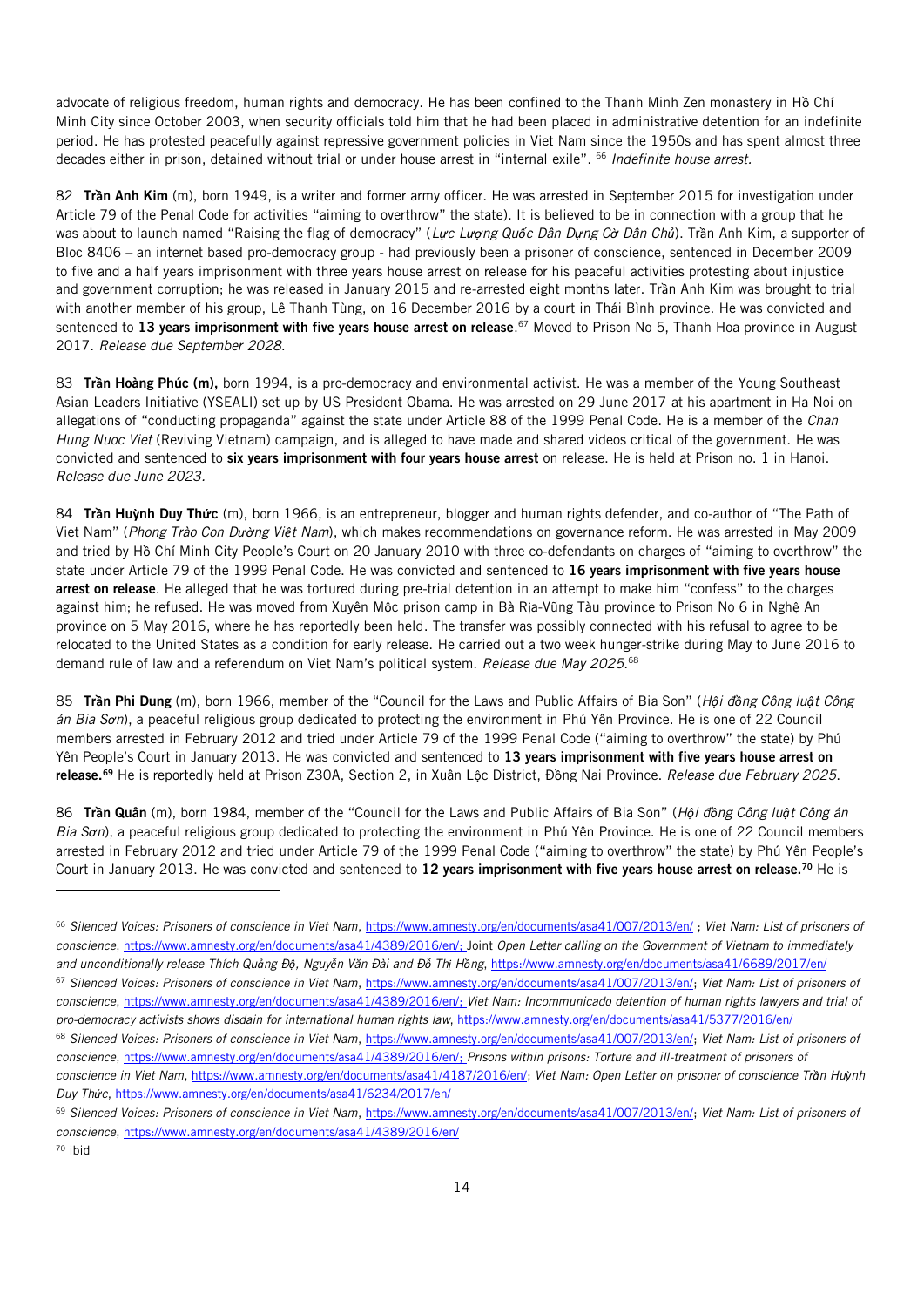advocate of religious freedom, human rights and democracy. He has been confined to the Thanh Minh Zen monastery in Hồ Chí Minh City since October 2003, when security officials told him that he had been placed in administrative detention for an indefinite period. He has protested peacefully against repressive government policies in Viet Nam since the 1950s and has spent almost three decades either in prison, detained without trial or under house arrest in "internal exile". <sup>66</sup> *Indefinite house arrest.*

82 Tr**ầ**n Anh Kim (m), born 1949, is a writer and former army officer. He was arrested in September 2015 for investigation under Article 79 of the Penal Code for activities "aiming to overthrow" the state). It is believed to be in connection with a group that he was about to launch named "Raising the flag of democracy" (*Lực Lượng Quốc Dân Dựng Cờ Dân Chủ*). Trần Anh Kim, a supporter of Bloc 8406 – an internet based pro-democracy group - had previously been a prisoner of conscience, sentenced in December 2009 to five and a half years imprisonment with three years house arrest on release for his peaceful activities protesting about injustice and government corruption; he was released in January 2015 and re-arrested eight months later. Trần Anh Kim was brought to trial with another member of his group, Lê Thanh Tùng, on 16 December 2016 by a court in Thái Bình province. He was convicted and sentenced to **13 years imprisonment with five years house arrest on release**.<sup>67</sup> Moved to Prison No 5, Thanh Hoa province in August 2017. *Release due September 2028.*

83 Tr**ầ**n Hoàng Phúc (m), born 1994, is a pro-democracy and environmental activist. He was a member of the Young Southeast Asian Leaders Initiative (YSEALI) set up by US President Obama. He was arrested on 29 June 2017 at his apartment in Ha Noi on allegations of "conducting propaganda" against the state under Article 88 of the 1999 Penal Code. He is a member of the *Chan Hung Nuoc Viet* (Reviving Vietnam) campaign, and is alleged to have made and shared videos critical of the government. He was convicted and sentenced to six years imprisonment with four years house arrest on release. He is held at Prison no. 1 in Hanoi. *Release due June 2023.*

84 Tr**ầ**n Hu**ỳ**nh Duy Th**ứ**c (m), born 1966, is an entrepreneur, blogger and human rights defender, and co-author of "The Path of Viet Nam" (*Phong Trào Con Dường Việt Nam*), which makes recommendations on governance reform. He was arrested in May 2009 and tried by Hồ Chí Minh City People's Court on 20 January 2010 with three co-defendants on charges of "aiming to overthrow" the state under Article 79 of the 1999 Penal Code. He was convicted and sentenced to 16 years imprisonment with five years house arrest on release. He alleged that he was tortured during pre-trial detention in an attempt to make him "confess" to the charges against him; he refused. He was moved from Xuyên Mộc prison camp in Bà Rịa-Vũng Tàu province to Prison No 6 in Nghệ An province on 5 May 2016, where he has reportedly been held. The transfer was possibly connected with his refusal to agree to be relocated to the United States as a condition for early release. He carried out a two week hunger-strike during May to June 2016 to demand rule of law and a referendum on Viet Nam's political system. *Release due May 2025*. 68

85 Tr**ầ**n Phi Dung (m), born 1966, member of the "Council for the Laws and Public Affairs of Bia Son" (*Hội đồng Công luật Công án Bia Sơn*), a peaceful religious group dedicated to protecting the environment in Phú Yên Province. He is one of 22 Council members arrested in February 2012 and tried under Article 79 of the 1999 Penal Code ("aiming to overthrow" the state) by Phú Yên People's Court in January 2013. He was convicted and sentenced to 13 years imprisonment with five years house arrest on release.<sup>69</sup> He is reportedly held at Prison Z30A, Section 2, in Xuân Lộc District, Đồng Nai Province. *Release due February 2025*.

86 Tr**ầ**n Quân (m), born 1984, member of the "Council for the Laws and Public Affairs of Bia Son" (*Hội đồng Công luật Công án Bia Sơn*), a peaceful religious group dedicated to protecting the environment in Phú Yên Province. He is one of 22 Council members arrested in February 2012 and tried under Article 79 of the 1999 Penal Code ("aiming to overthrow" the state) by Phú Yên People's Court in January 2013. He was convicted and sentenced to 12 years imprisonment with five years house arrest on release.<sup>70</sup> He is

<sup>70</sup> ibid

<sup>66</sup> *Silenced Voices: Prisoners of conscience in Viet Nam*[, https://www.amnesty.org/en/documents/asa41/007/2013/en/](https://www.amnesty.org/en/documents/asa41/007/2013/en/) ; *Viet Nam: List of prisoners of conscience*[, https://www.amnesty.org/en/documents/asa41/4389/2016/en/;](https://www.amnesty.org/en/documents/asa41/4389/2016/en/) Joint *Open Letter calling on the Government of Vietnam to immediately*  and unconditionally release Thích Quảng Độ, Nguyễn Văn Đài and Đỗ Thị Hồng, <https://www.amnesty.org/en/documents/asa41/6689/2017/en/> <sup>67</sup> *Silenced Voices: Prisoners of conscience in Viet Nam*[, https://www.amnesty.org/en/documents/asa41/007/2013/en/;](https://www.amnesty.org/en/documents/asa41/007/2013/en/) *Viet Nam: List of prisoners of conscience*[, https://www.amnesty.org/en/documents/asa41/4389/2016/en/;](https://www.amnesty.org/en/documents/asa41/4389/2016/en/) *Viet Nam: Incommunicado detention of human rights lawyers and trial of pro-democracy activists shows disdain for international human rights law*[, https://www.amnesty.org/en/documents/asa41/5377/2016/en/](https://www.amnesty.org/en/documents/asa41/5377/2016/en/) <sup>68</sup> *Silenced Voices: Prisoners of conscience in Viet Nam*[, https://www.amnesty.org/en/documents/asa41/007/2013/en/;](https://www.amnesty.org/en/documents/asa41/007/2013/en/) *Viet Nam: List of prisoners of conscience*[, https://www.amnesty.org/en/documents/asa41/4389/2016/en/;](https://www.amnesty.org/en/documents/asa41/4389/2016/en/) *Prisons within prisons: Torture and ill-treatment of prisoners of conscience in Viet Nam*[, https://www.amnesty.org/en/documents/asa41/4187/2016/en/;](https://www.amnesty.org/en/documents/asa41/4187/2016/en/) *Viet Nam: Open Letter on prisoner of conscience Trần Huỳnh Duy Thức*,<https://www.amnesty.org/en/documents/asa41/6234/2017/en/>

<sup>69</sup> *Silenced Voices: Prisoners of conscience in Viet Nam*[, https://www.amnesty.org/en/documents/asa41/007/2013/en/;](https://www.amnesty.org/en/documents/asa41/007/2013/en/) *Viet Nam: List of prisoners of conscience*[, https://www.amnesty.org/en/documents/asa41/4389/2016/en/](https://www.amnesty.org/en/documents/asa41/4389/2016/en/)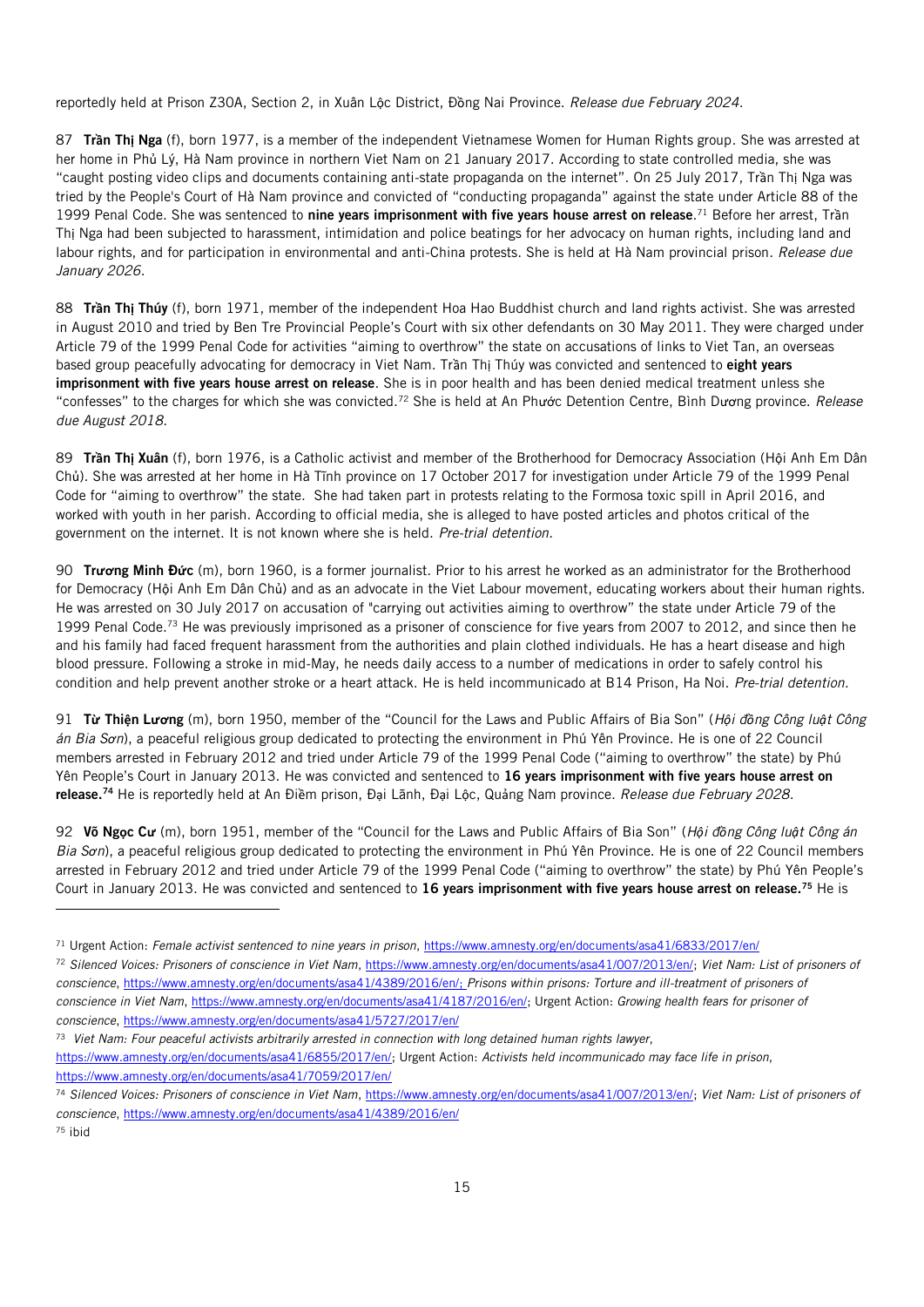reportedly held at Prison Z30A, Section 2, in Xuân Lộc District, Đồng Nai Province. *Release due February 2024*.

87 Tr**ầ**n Th**ị** Nga (f), born 1977, is a member of the independent Vietnamese Women for Human Rights group. She was arrested at her home in Phủ Lý, Hà Nam province in northern Viet Nam on 21 January 2017. According to state controlled media, she was "caught posting video clips and documents containing anti-state propaganda on the internet". On 25 July 2017, Trần Thị Nga was tried by the People's Court of Hà Nam province and convicted of "conducting propaganda" against the state under Article 88 of the 1999 Penal Code. She was sentenced to nine years imprisonment with five years house arrest on release.<sup>71</sup> Before her arrest, Trần Thị Nga had been subjected to harassment, intimidation and police beatings for her advocacy on human rights, including land and labour rights, and for participation in environmental and anti-China protests. She is held at Hà Nam provincial prison. *Release due January 2026.*

88 Tr**ầ**n Th**ị** Thúy (f), born 1971, member of the independent Hoa Hao Buddhist church and land rights activist. She was arrested in August 2010 and tried by Ben Tre Provincial People's Court with six other defendants on 30 May 2011. They were charged under Article 79 of the 1999 Penal Code for activities "aiming to overthrow" the state on accusations of links to Viet Tan, an overseas based group peacefully advocating for democracy in Viet Nam. Trần Thị Thúy was convicted and sentenced to eight years imprisonment with five years house arrest on release. She is in poor health and has been denied medical treatment unless she "confesses" to the charges for which she was convicted.<sup>72</sup> She is held at An Phước Detention Centre, Bình Dương province. *Release due August 2018*.

89 Tr**ầ**n Th**ị** Xuân (f), born 1976, is a Catholic activist and member of the Brotherhood for Democracy Association (Hội Anh Em Dân Chủ). She was arrested at her home in Hà Tĩnh province on 17 October 2017 for investigation under Article 79 of the 1999 Penal Code for "aiming to overthrow" the state. She had taken part in protests relating to the Formosa toxic spill in April 2016, and worked with youth in her parish. According to official media, she is alleged to have posted articles and photos critical of the government on the internet. It is not known where she is held. *Pre-trial detention.*

90 Tr**ươ**ng Minh Đ**ứ**c (m), born 1960, is a former journalist. Prior to his arrest he worked as an administrator for the Brotherhood for Democracy (Hội Anh Em Dân Chủ) and as an advocate in the Viet Labour movement, educating workers about their human rights. He was arrested on 30 July 2017 on accusation of "carrying out activities aiming to overthrow" the state under Article 79 of the 1999 Penal Code.<sup>73</sup> He was previously imprisoned as a prisoner of conscience for five years from 2007 to 2012, and since then he and his family had faced frequent harassment from the authorities and plain clothed individuals. He has a heart disease and high blood pressure. Following a stroke in mid-May, he needs daily access to a number of medications in order to safely control his condition and help prevent another stroke or a heart attack. He is held incommunicado at B14 Prison, Ha Noi. *Pre-trial detention.*

91 T**ừ** Thi**ệ**n L**ươ**ng (m), born 1950, member of the "Council for the Laws and Public Affairs of Bia Son" (*Hội đồng Công luật Công án Bia Sơn*), a peaceful religious group dedicated to protecting the environment in Phú Yên Province. He is one of 22 Council members arrested in February 2012 and tried under Article 79 of the 1999 Penal Code ("aiming to overthrow" the state) by Phú Yên People's Court in January 2013. He was convicted and sentenced to 16 years imprisonment with five years house arrest on release.<sup>74</sup> He is reportedly held at An Điềm prison, Đại Lãnh, Đại Lộc, Quảng Nam province. *Release due February 2028*.

92 Võ Ng**ọ**c C**ư** (m), born 1951, member of the "Council for the Laws and Public Affairs of Bia Son" (*Hội đồng Công luật Công án Bia Sơn*), a peaceful religious group dedicated to protecting the environment in Phú Yên Province. He is one of 22 Council members arrested in February 2012 and tried under Article 79 of the 1999 Penal Code ("aiming to overthrow" the state) by Phú Yên People's Court in January 2013. He was convicted and sentenced to 16 years imprisonment with five years house arrest on release.<sup>75</sup> He is

73 *Viet Nam: Four peaceful activists arbitrarily arrested in connection with long detained human rights lawyer*,

[https://www.amnesty.org/en/documents/asa41/6855/2017/en/;](https://www.amnesty.org/en/documents/asa41/6855/2017/en/) Urgent Action: *Activists held incommunicado may face life in prison*, <https://www.amnesty.org/en/documents/asa41/7059/2017/en/>

<sup>71</sup> Urgent Action: *Female activist sentenced to nine years in prison*,<https://www.amnesty.org/en/documents/asa41/6833/2017/en/>

<sup>72</sup> *Silenced Voices: Prisoners of conscience in Viet Nam*[, https://www.amnesty.org/en/documents/asa41/007/2013/en/;](https://www.amnesty.org/en/documents/asa41/007/2013/en/) *Viet Nam: List of prisoners of conscience*[, https://www.amnesty.org/en/documents/asa41/4389/2016/en/;](https://www.amnesty.org/en/documents/asa41/4389/2016/en/) *Prisons within prisons: Torture and ill-treatment of prisoners of conscience in Viet Nam*[, https://www.amnesty.org/en/documents/asa41/4187/2016/en/;](https://www.amnesty.org/en/documents/asa41/4187/2016/en/) Urgent Action: *Growing health fears for prisoner of conscience*[, https://www.amnesty.org/en/documents/asa41/5727/2017/en/](https://www.amnesty.org/en/documents/asa41/5727/2017/en/)

<sup>74</sup> *Silenced Voices: Prisoners of conscience in Viet Nam*[, https://www.amnesty.org/en/documents/asa41/007/2013/en/;](https://www.amnesty.org/en/documents/asa41/007/2013/en/) *Viet Nam: List of prisoners of conscience*[, https://www.amnesty.org/en/documents/asa41/4389/2016/en/](https://www.amnesty.org/en/documents/asa41/4389/2016/en/)

<sup>75</sup> ibid